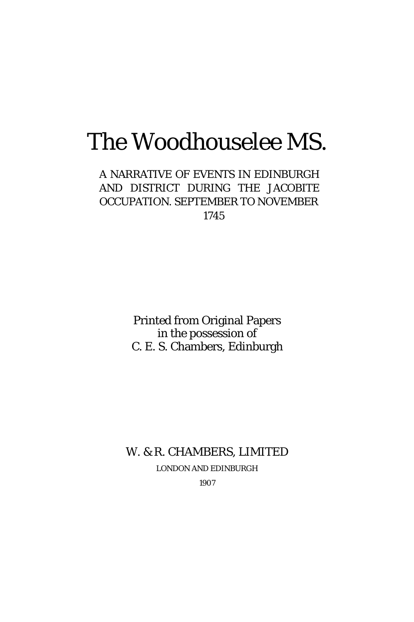# The Woodhouselee MS.

A NARRATIVE OF EVENTS IN EDINBURGH AND DISTRICT DURING THE JACOBITE OCCUPATION. SEPTEMBER TO NOVEMBER 1745

> Printed from Original Papers in the possession of C. E. S. Chambers, Edinburgh

## W. & R. CHAMBERS, LIMITED LONDON AND EDINBURGH

1907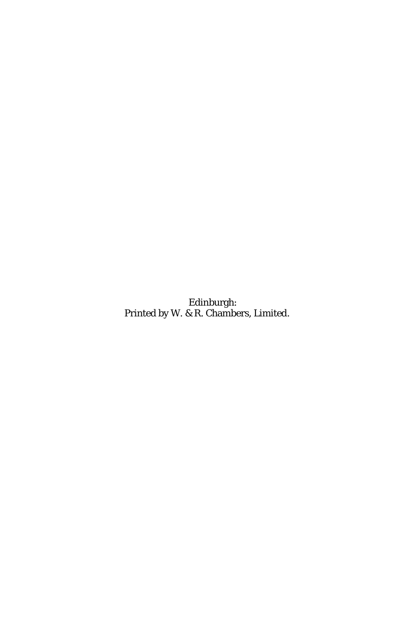Edinburgh: Printed by W. & R. Chambers, Limited.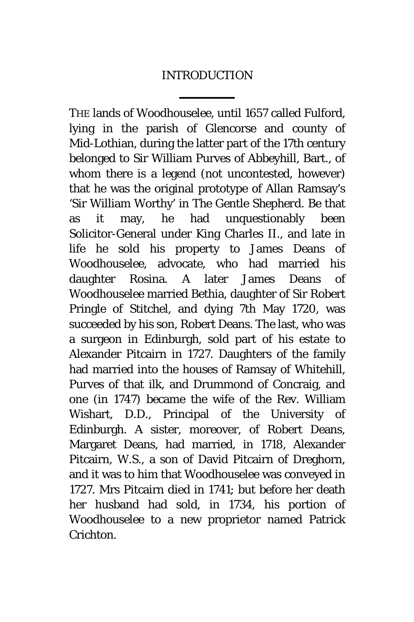## INTRODUCTION

THE lands of Woodhouselee, until 1657 called Fulford, lying in the parish of Glencorse and county of Mid-Lothian, during the latter part of the 17th century belonged to Sir William Purves of Abbeyhill, Bart., of whom there is a legend (not uncontested, however) that he was the original prototype of Allan Ramsay's 'Sir William Worthy' in *The Gentle Shepherd.* Be that as it may, he had unquestionably been Solicitor-General under King Charles II., and late in life he sold his property to James Deans of Woodhouselee, advocate, who had married his daughter Rosina. A later James Deans of Woodhouselee married Bethia, daughter of Sir Robert Pringle of Stitchel, and dying 7th May 1720, was succeeded by his son, Robert Deans. The last, who was a surgeon in Edinburgh, sold part of his estate to Alexander Pitcairn in 1727. Daughters of the family had married into the houses of Ramsay of Whitehill, Purves of that ilk, and Drummond of Concraig, and one (in 1747) became the wife of the Rev. William Wishart, D.D., Principal of the University of Edinburgh. A sister, moreover, of Robert Deans, Margaret Deans, had married, in 1718, Alexander Pitcairn, W.S., a son of David Pitcairn of Dreghorn, and it was to him that Woodhouselee was conveyed in 1727. Mrs Pitcairn died in 1741; but before her death her husband had sold, in 1734, his portion of Woodhouselee to a new proprietor named Patrick Crichton.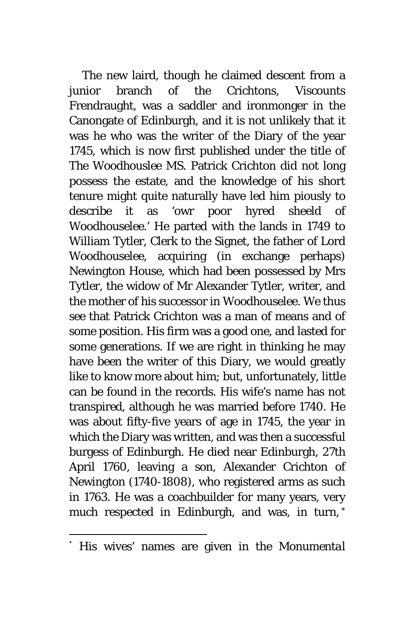The new laird, though he claimed descent from a junior branch of the Crichtons, Viscounts Frendraught, was a saddler and ironmonger in the Canongate of Edinburgh, and it is not unlikely that it was he who was the writer of the Diary of the year 1745, which is now first published under the title of *The Woodhouslee MS.* Patrick Crichton did not long possess the estate, and the knowledge of his short tenure might quite naturally have led him piously to describe it as 'owr poor hyred sheeld of Woodhouselee.' He parted with the lands in 1749 to William Tytler, Clerk to the Signet, the father of Lord Woodhouselee, acquiring (in exchange perhaps) Newington House, which had been possessed by Mrs Tytler, the widow of Mr Alexander Tytler, writer, and the mother of his successor in Woodhouselee. We thus see that Patrick Crichton was a man of means and of some position. His firm was a good one, and lasted for some generations. If we are right in thinking he may have been the writer of this Diary, we would greatly like to know more about him; but, unfortunately, little can be found in the records. His wife's name has not transpired, although he was married before 1740. He was about fifty-five years of age in 1745, the year in which the Diary was written, and was then a successful burgess of Edinburgh. He died near Edinburgh, 27th April 1760, leaving a son, Alexander Crichton of Newington (1740-1808), who registered arms as such in 1763. He was a coachbuilder for many years, very much respected in Edinburgh, and was, in turn, [\\*](#page-3-0)

<span id="page-3-0"></span> <sup>\*</sup> His wives' names are given in the *Monumental*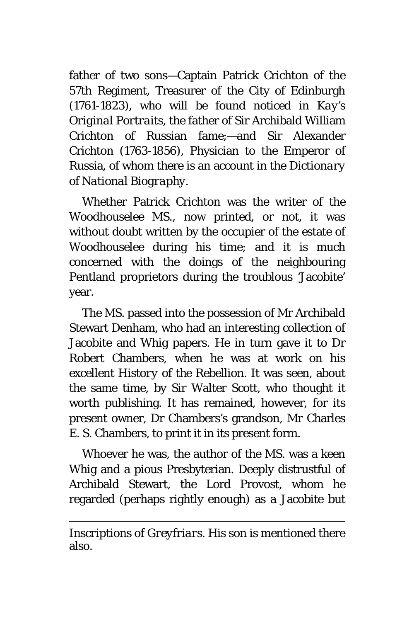father of two sons—Captain Patrick Crichton of the 57th Regiment, Treasurer of the City of Edinburgh (1761-1823), who will be found noticed in *Kay's Original Portraits,* the father of Sir Archibald William Crichton of Russian fame;—and Sir Alexander Crichton (1763-1856), Physician to the Emperor of Russia, of whom there is an account in the *Dictionary of National Biography.*

Whether Patrick Crichton was the writer of the Woodhouselee MS., now printed, or not, it was without doubt written by the occupier of the estate of Woodhouselee during his time; and it is much concerned with the doings of the neighbouring Pentland proprietors during the troublous 'Jacobite' year.

The MS. passed into the possession of Mr Archibald Stewart Denham, who had an interesting collection of Jacobite and Whig papers. He in turn gave it to Dr Robert Chambers, when he was at work on his excellent *History of the Rebellion.* It was seen, about the same time, by Sir Walter Scott, who thought it worth publishing. It has remained, however, for its present owner, Dr Chambers's grandson, Mr Charles E. S. Chambers, to print it in its present form.

Whoever he was, the author of the MS. was a keen Whig and a pious Presbyterian. Deeply distrustful of Archibald Stewart, the Lord Provost, whom he regarded (perhaps rightly enough) as a Jacobite but

l

*Inscriptions of Greyfriars.* His son is mentioned there also.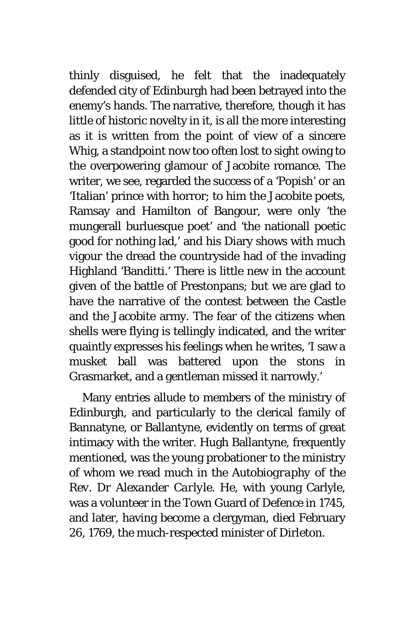thinly disguised, he felt that the inadequately defended city of Edinburgh had been betrayed into the enemy's hands. The narrative, therefore, though it has little of historic novelty in it, is all the more interesting as it is written from the point of view of a sincere Whig, a standpoint now too often lost to sight owing to the overpowering glamour of Jacobite romance. The writer, we see, regarded the success of a 'Popish' or an 'Italian' prince with horror; to him the Jacobite poets, Ramsay and Hamilton of Bangour, were only 'the mungerall burluesque poet' and 'the nationall poetic good for nothing lad,' and his Diary shows with much vigour the dread the countryside had of the invading Highland 'Banditti.' There is little new in the account given of the battle of Prestonpans; but we are glad to have the narrative of the contest between the Castle and the Jacobite army. The fear of the citizens when shells were flying is tellingly indicated, and the writer quaintly expresses his feelings when he writes, 'I saw a musket ball was battered upon the stons in Grasmarket, and a gentleman missed it narrowly.'

Many entries allude to members of the ministry of Edinburgh, and particularly to the clerical family of Bannatyne, or Ballantyne, evidently on terms of great intimacy with the writer. Hugh Ballantyne, frequently mentioned, was the young probationer to the ministry of whom we read much in the *Autobiography of the Rev. Dr Alexander Carlyle.* He, with young Carlyle, was a volunteer in the Town Guard of Defence in 1745, and later, having become a clergyman, died February 26, 1769, the much-respected minister of Dirleton.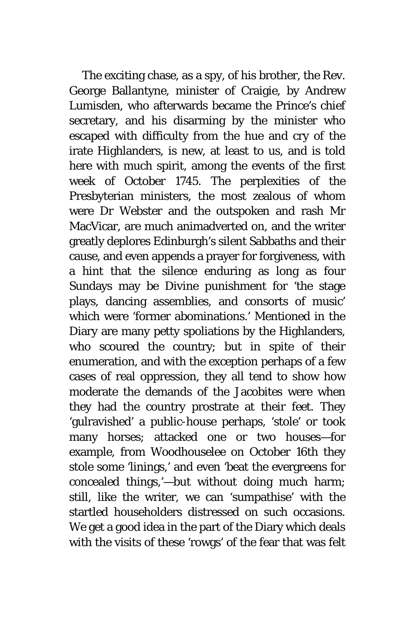The exciting chase, as a spy, of his brother, the Rev. George Ballantyne, minister of Craigie, by Andrew Lumisden, who afterwards became the Prince's chief secretary, and his disarming by the minister who escaped with difficulty from the hue and cry of the irate Highlanders, is new, at least to us, and is told here with much spirit, among the events of the first week of October 1745. The perplexities of the Presbyterian ministers, the most zealous of whom were Dr Webster and the outspoken and rash Mr MacVicar, are much animadverted on, and the writer greatly deplores Edinburgh's silent Sabbaths and their cause, and even appends a prayer for forgiveness, with a hint that the silence enduring as long as four Sundays may be Divine punishment for 'the stage plays, dancing assemblies, and consorts of music' which were 'former abominations.' Mentioned in the Diary are many petty spoliations by the Highlanders, who scoured the country; but in spite of their enumeration, and with the exception perhaps of a few cases of real oppression, they all tend to show how moderate the demands of the Jacobites were when they had the country prostrate at their feet. They 'gulravished' a public-house perhaps, 'stole' or took many horses; attacked one or two houses—for example, from Woodhouselee on October 16th they stole some 'linings,' and even 'beat the evergreens for concealed things,'—but without doing much harm; still, like the writer, we can 'sumpathise' with the startled householders distressed on such occasions. We get a good idea in the part of the Diary which deals with the visits of these 'rowgs' of the fear that was felt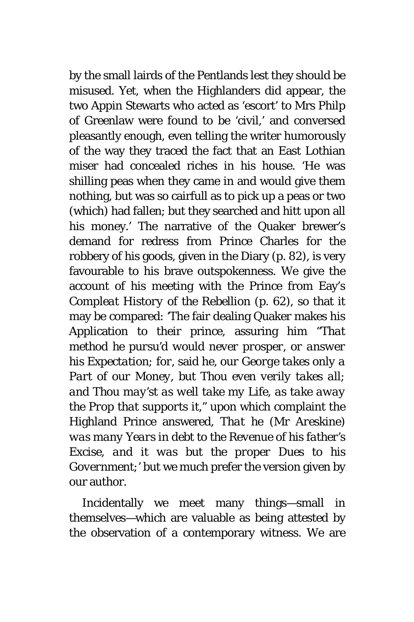by the small lairds of the Pentlands lest they should be misused. Yet, when the Highlanders did appear, the two Appin Stewarts who acted as 'escort' to Mrs Philp of Greenlaw were found to be 'civil,' and conversed pleasantly enough, even telling the writer humorously of the way they traced the fact that an East Lothian miser had concealed riches in his house. 'He was shilling peas when they came in and would give them nothing, but was so cairfull as to pick up a peas or two (which) had fallen; but they searched and hitt upon all his money.' The narrative of the Quaker brewer's demand for redress from Prince Charles for the robbery of his goods, given in the Diary (p. 82), is very favourable to his brave outspokenness. We give the account of his meeting with the Prince from Eay's *Compleat History of the Rebellion* (p. 62), so that it may be compared: 'The fair dealing Quaker makes his Application to their prince, assuring him "*That method he pursu'd would never prosper, or answer his Expectation; for,* said he, *our George takes only a Part of our Money, but Thou even verily takes all; and Thou may'st as well take my Life, as take away the Prop that supports it,"* upon which complaint the Highland Prince answered, *That he* (Mr *Areskine) was many Years in debt to the Revenue of his father's Excise, and it was but the proper Dues to his Government;'* but we much prefer the version given by our author.

Incidentally we meet many things—small in themselves—which are valuable as being attested by the observation of a contemporary witness. We are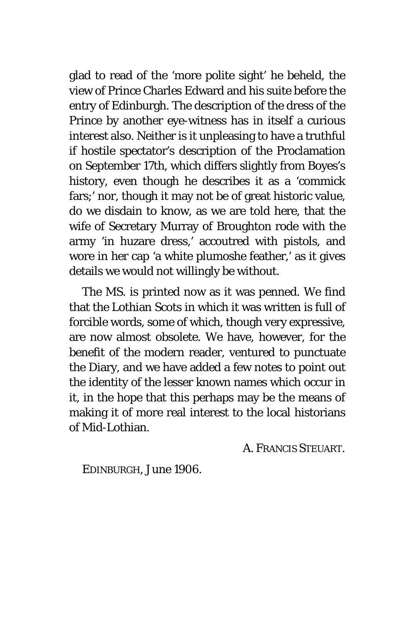glad to read of the 'more polite sight' he beheld, the view of Prince Charles Edward and his suite before the entry of Edinburgh. The description of the dress of the Prince by another eye-witness has in itself a curious interest also. Neither is it unpleasing to have a truthful if hostile spectator's description of the Proclamation on September 17th, which differs slightly from Boyes's history, even though he describes it as a 'commick fars;' nor, though it may not be of great historic value, do we disdain to know, as we are told here, that the wife of Secretary Murray of Broughton rode with the army 'in huzare dress,' accoutred with pistols, and wore in her cap 'a white plumoshe feather,' as it gives details we would not willingly be without.

The MS. is printed now as it was penned. We find that the Lothian Scots in which it was written is full of forcible words, some of which, though very expressive, are now almost obsolete. We have, however, for the benefit of the modern reader, ventured to punctuate the Diary, and we have added a few notes to point out the identity of the lesser known names which occur in it, in the hope that this perhaps may be the means of making it of more real interest to the local historians of Mid-Lothian.

A. FRANCIS STEUART.

EDINBURGH, *June* 1906.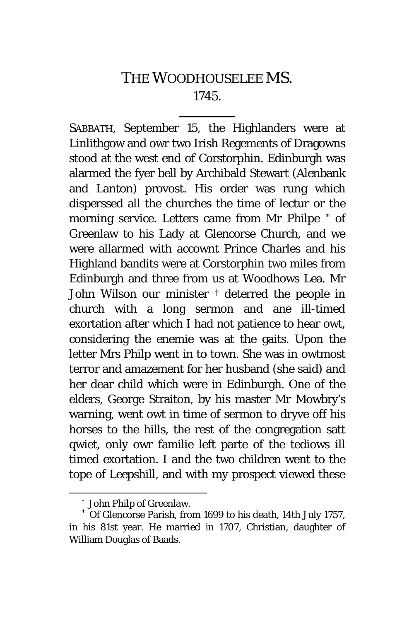## THE WOODHOUSELEE MS. 1745.

SABBATH, September 15, the Highlanders were at Linlithgow and owr two Irish Regements of Dragowns stood at the west end of Corstorphin. Edinburgh was alarmed the fyer bell by Archibald Stewart (Alenbank and Lanton) provost. His order was rung which disperssed all the churches the time of lectur or the morning service. Letters came from Mr Philpe [\\*](#page-9-0) of Greenlaw to his Lady at Glencorse Church, and we were allarmed with accownt Prince Charles and his Highland bandits were at Corstorphin two miles from Edinburgh and three from us at Woodhows Lea. Mr John Wilson our minister [†](#page-9-1) deterred the people in church with a long sermon and ane ill-timed exortation after which I had not patience to hear owt, considering the enemie was at the gaits. Upon the letter Mrs Philp went in to town. She was in owtmost terror and amazement for her husband (she said) and her dear child which were in Edinburgh. One of the elders, George Straiton, by his master Mr Mowbry's warning, went owt in time of sermon to dryve off his horses to the hills, the rest of the congregation satt qwiet, only owr familie left parte of the tediows ill timed exortation. I and the two children went to the tope of Leepshill, and with my prospect viewed these

 <sup>\*</sup> John Philp of Greenlaw.

<span id="page-9-1"></span><span id="page-9-0"></span><sup>†</sup> Of Glencorse Parish, from 1699 to his death, 14th July 1757, in his 81st year. He married in 1707, Christian, daughter of William Douglas of Baads.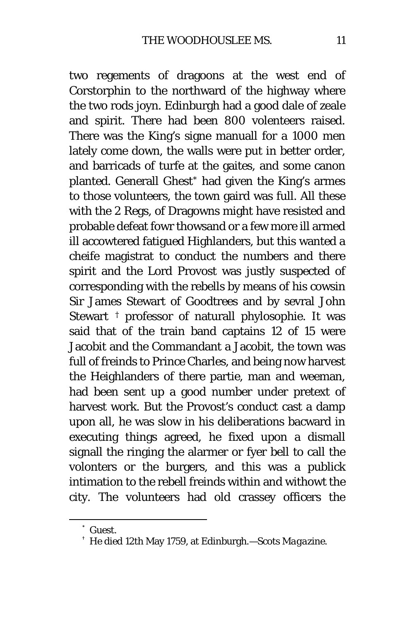two regements of dragoons at the west end of Corstorphin to the northward of the highway where the two rods joyn. Edinburgh had a good dale of zeale and spirit. There had been 800 volenteers raised. There was the King's signe manuall for a 1000 men lately come down, the walls were put in better order, and barricads of turfe at the gaites, and some canon planted. Generall Ghest[\\*](#page-10-0) had given the King's armes to those volunteers, the town gaird was full. All these with the 2 Regs, of Dragowns might have resisted and probable defeat fowr thowsand or a few more ill armed ill accowtered fatigued Highlanders, but this wanted a cheife magistrat to conduct the numbers and there spirit and the Lord Provost was justly suspected of corresponding with the rebells by means of his cowsin Sir James Stewart of Goodtrees and by sevral John Stewart [†](#page-10-1) professor of naturall phylosophie. It was said that of the train band captains 12 of 15 were Jacobit and the Commandant a Jacobit, the town was full of freinds to Prince Charles, and being now harvest the Heighlanders of there partie, man and weeman, had been sent up a good number under pretext of harvest work. But the Provost's conduct cast a damp upon all, he was slow in his deliberations bacward in executing things agreed, he fixed upon a dismall signall the ringing the alarmer or fyer bell to call the volonters or the burgers, and this was a publick intimation to the rebell freinds within and withowt the city. The volunteers had old crassey officers the

<span id="page-10-0"></span> <sup>\*</sup> Guest.

<span id="page-10-1"></span><sup>†</sup> He died 12th May 1759, at Edinburgh.—*Scots Magazine.*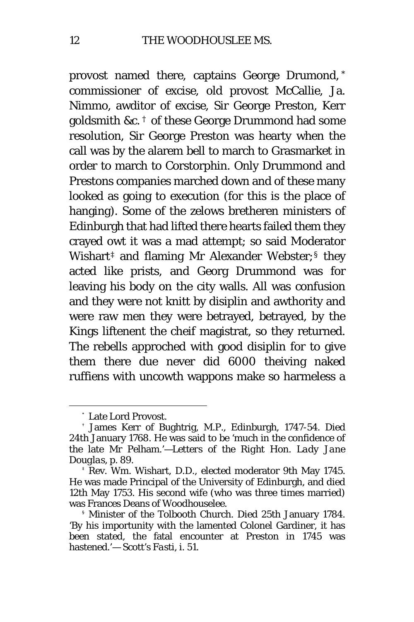provost named there, captains George Drumond, [\\*](#page-11-0) commissioner of excise, old provost McCallie, Ja. Nimmo, awditor of excise, Sir George Preston, Kerr goldsmith &c. [†](#page-11-1) of these George Drummond had some resolution, Sir George Preston was hearty when the call was by the alarem bell to march to Grasmarket in order to march to Corstorphin. Only Drummond and Prestons companies marched down and of these many looked as going to execution (for this is the place of hanging). Some of the zelows bretheren ministers of Edinburgh that had lifted there hearts failed them they crayed owt it was a mad attempt; so said Moderator Wishart<sup> $\ddagger$ </sup> and flaming Mr Alexander Webster;<sup>[§](#page-11-3)</sup> they acted like prists, and Georg Drummond was for leaving his body on the city walls. All was confusion and they were not knitt by disiplin and awthority and were raw men they were betrayed, betrayed, by the Kings liftenent the cheif magistrat, so they returned. The rebells approched with good disiplin for to give them there due never did 6000 theiving naked ruffiens with uncowth wappons make so harmeless a

 <sup>\*</sup> Late Lord Provost.

<span id="page-11-1"></span><span id="page-11-0"></span><sup>†</sup> James Kerr of Bughtrig, M.P., Edinburgh, 1747-54. Died 24th January 1768. He was said to be 'much in the confidence of the late Mr Pelham.'—*Letters of the Right Hon. Lady Jane Douglas,* p. 89.

<span id="page-11-2"></span><sup>‡</sup> Rev. Wm. Wishart, D.D., elected moderator 9th May 1745. He was made Principal of the University of Edinburgh, and died 12th May 1753. His second wife (who was three times married) was Frances Deans of Woodhouselee.

<span id="page-11-3"></span><sup>§</sup> Minister of the Tolbooth Church. Died 25th January 1784. 'By his importunity with the lamented Colonel Gardiner, it has been stated, the fatal encounter at Preston in 1745 was hastened.'— Scott's *Fasti,* i. 51.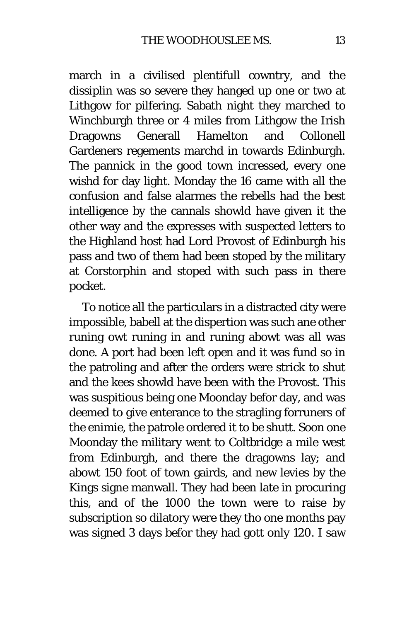march in a civilised plentifull cowntry, and the dissiplin was so severe they hanged up one or two at Lithgow for pilfering. Sabath night they marched to Winchburgh three or 4 miles from Lithgow the Irish Dragowns Generall Hamelton and Collonell Gardeners regements marchd in towards Edinburgh. The pannick in the good town incressed, every one wishd for day light. Monday the 16 came with all the confusion and false alarmes the rebells had the best intelligence by the cannals showld have given it the other way and the expresses with suspected letters to the Highland host had Lord Provost of Edinburgh his pass and two of them had been stoped by the military at Corstorphin and stoped with such pass in there pocket.

To notice all the particulars in a distracted city were impossible, babell at the dispertion was such ane other runing owt runing in and runing abowt was all was done. A port had been left open and it was fund so in the patroling and after the orders were strick to shut and the kees showld have been with the Provost. This was suspitious being one Moonday befor day, and was deemed to give enterance to the stragling forruners of the enimie, the patrole ordered it to be shutt. Soon one Moonday the military went to Coltbridge a mile west from Edinburgh, and there the dragowns lay; and abowt 150 foot of town gairds, and new levies by the Kings signe manwall. They had been late in procuring this, and of the 1000 the town were to raise by subscription so dilatory were they tho one months pay was signed 3 days befor they had gott only 120. I saw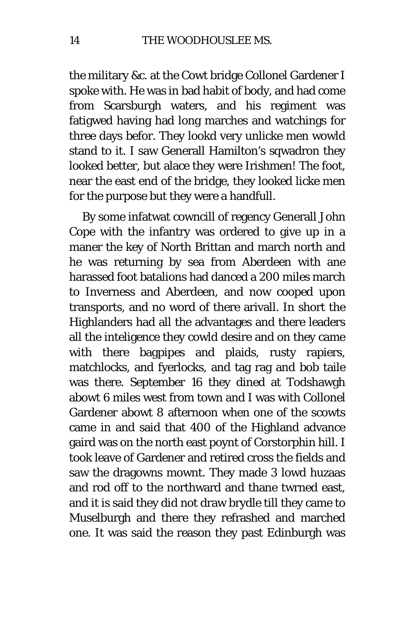the military &c. at the Cowt bridge Collonel Gardener I spoke with. He was in bad habit of body, and had come from Scarsburgh waters, and his regiment was fatigwed having had long marches and watchings for three days befor. They lookd very unlicke men wowld stand to it. I saw Generall Hamilton's sqwadron they looked better, but alace they were Irishmen! The foot, near the east end of the bridge, they looked licke men for the purpose but they were a handfull.

By some infatwat cowncill of regency Generall John Cope with the infantry was ordered to give up in a maner the key of North Brittan and march north and he was returning by sea from Aberdeen with ane harassed foot batalions had danced a 200 miles march to Inverness and Aberdeen, and now cooped upon transports, and no word of there arivall. In short the Highlanders had all the advantages and there leaders all the inteligence they cowld desire and on they came with there bagpipes and plaids, rusty rapiers, matchlocks, and fyerlocks, and tag rag and bob taile was there. September 16 they dined at Todshawgh abowt 6 miles west from town and I was with Collonel Gardener abowt 8 afternoon when one of the scowts came in and said that 400 of the Highland advance gaird was on the north east poynt of Corstorphin hill. I took leave of Gardener and retired cross the fields and saw the dragowns mownt. They made 3 lowd huzaas and rod off to the northward and thane twrned east, and it is said they did not draw brydle till they came to Muselburgh and there they refrashed and marched one. It was said the reason they past Edinburgh was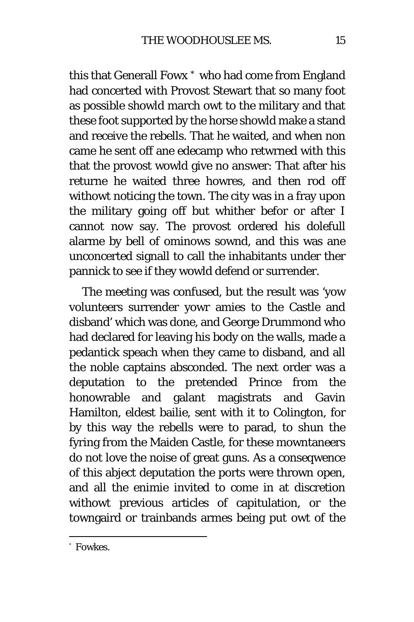this that Generall Fowx [\\*](#page-14-0) who had come from England had concerted with Provost Stewart that so many foot as possible showld march owt to the military and that these foot supported by the horse showld make a stand and receive the rebells. That he waited, and when non came he sent off ane edecamp who retwrned with this that the provost wowld give no answer: That after his returne he waited three howres, and then rod off withowt noticing the town. The city was in a fray upon the military going off but whither befor or after I cannot now say. The provost ordered his dolefull alarme by bell of ominows sownd, and this was ane unconcerted signall to call the inhabitants under ther pannick to see if they wowld defend or surrender.

The meeting was confused, but the result was 'yow volunteers surrender yowr amies to the Castle and disband' which was done, and George Drummond who had declared for leaving his body on the walls, made a pedantick speach when they came to disband, and all the noble captains absconded. The next order was a deputation to the pretended Prince from the honowrable and galant magistrats and Gavin Hamilton, eldest bailie, sent with it to Colington, for by this way the rebells were to parad, to shun the fyring from the Maiden Castle, for these mowntaneers do not love the noise of great guns. As a conseqwence of this abject deputation the ports were thrown open, and all the enimie invited to come in at discretion withowt previous articles of capitulation, or the towngaird or trainbands armes being put owt of the

<span id="page-14-0"></span> <sup>\*</sup> Fowkes.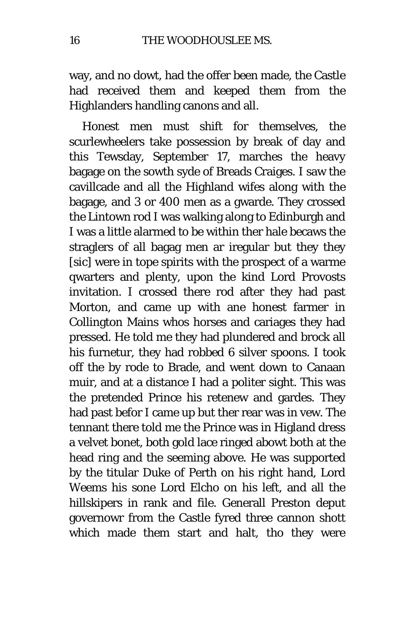way, and no dowt, had the offer been made, the Castle had received them and keeped them from the Highlanders handling canons and all.

Honest men must shift for themselves, the scurlewheelers take possession by break of day and this Tewsday, September 17, marches the heavy bagage on the sowth syde of Breads Craiges. I saw the cavillcade and all the Highland wifes along with the bagage, and 3 or 400 men as a gwarde. They crossed the Lintown rod I was walking along to Edinburgh and I was a little alarmed to be within ther hale becaws the straglers of all bagag men ar iregular but they they *[sic]* were in tope spirits with the prospect of a warme qwarters and plenty, upon the kind Lord Provosts invitation. I crossed there rod after they had past Morton, and came up with ane honest farmer in Collington Mains whos horses and cariages they had pressed. He told me they had plundered and brock all his furnetur, they had robbed 6 silver spoons. I took off the by rode to Brade, and went down to Canaan muir, and at a distance I had a politer sight. This was the pretended Prince his retenew and gardes. They had past befor I came up but ther rear was in vew. The tennant there told me the Prince was in Higland dress a velvet bonet, both gold lace ringed abowt both at the head ring and the seeming above. He was supported by the titular Duke of Perth on his right hand, Lord Weems his sone Lord Elcho on his left, and all the hillskipers in rank and file. Generall Preston deput governowr from the Castle fyred three cannon shott which made them start and halt, tho they were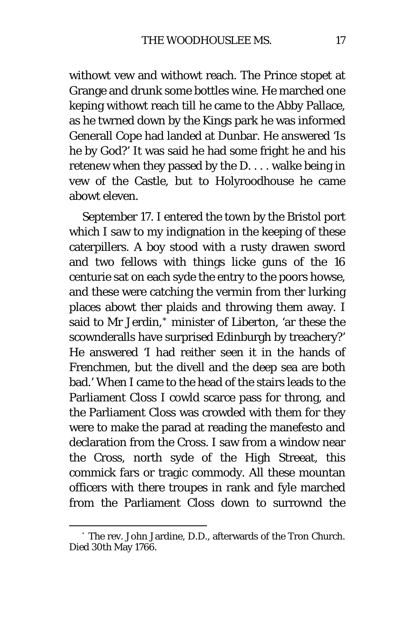withowt vew and withowt reach. The Prince stopet at Grange and drunk some bottles wine. He marched one keping withowt reach till he came to the Abby Pallace, as he twrned down by the Kings park he was informed Generall Cope had landed at Dunbar. He answered 'Is he by God?' It was said he had some fright he and his retenew when they passed by the D. . . . walke being in vew of the Castle, but to Holyroodhouse he came abowt eleven.

September 17. I entered the town by the Bristol port which I saw to my indignation in the keeping of these caterpillers. A boy stood with a rusty drawen sword and two fellows with things licke guns of the 16 centurie sat on each syde the entry to the poors howse, and these were catching the vermin from ther lurking places abowt ther plaids and throwing them away. I said to Mr Jerdin,[\\*](#page-16-0) minister of Liberton, 'ar these the scownderalls have surprised Edinburgh by treachery?' He answered 'I had reither seen it in the hands of Frenchmen, but the divell and the deep sea are both bad.' When I came to the head of the stairs leads to the Parliament Closs I cowld scarce pass for throng, and the Parliament Closs was crowded with them for they were to make the parad at reading the manefesto and declaration from the Cross. I saw from a window near the Cross, north syde of the High Streeat, this commick fars or tragic commody. All these mountan officers with there troupes in rank and fyle marched from the Parliament Closs down to surrownd the

<span id="page-16-0"></span> <sup>\*</sup> The rev. John Jardine, D.D., afterwards of the Tron Church. Died 30th May 1766.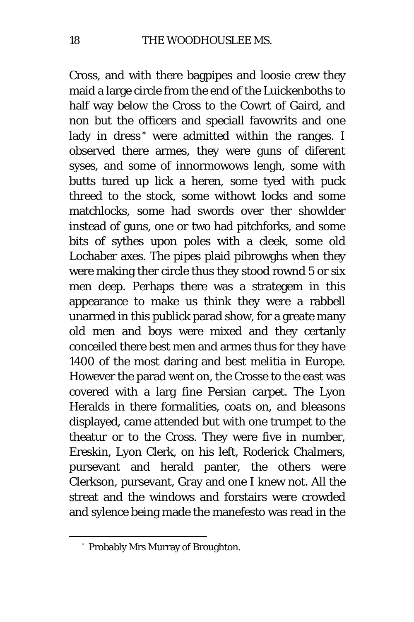Cross, and with there bagpipes and loosie crew they maid a large circle from the end of the Luickenboths to half way below the Cross to the Cowrt of Gaird, and non but the officers and speciall favowrits and one lady in dress<sup>[\\*](#page-17-0)</sup> were admitted within the ranges. I observed there armes, they were guns of diferent syses, and some of innormowows lengh, some with butts tured up lick a heren, some tyed with puck threed to the stock, some withowt locks and some matchlocks, some had swords over ther showlder instead of guns, one or two had pitchforks, and some bits of sythes upon poles with a cleek, some old Lochaber axes. The pipes plaid pibrowghs when they were making ther circle thus they stood rownd 5 or six men deep. Perhaps there was a strategem in this appearance to make us think they were a rabbell unarmed in this publick parad show, for a greate many old men and boys were mixed and they certanly conceiled there best men and armes thus for they have 1400 of the most daring and best melitia in Europe. However the parad went on, the Crosse to the east was covered with a larg fine Persian carpet. The Lyon Heralds in there formalities, coats on, and bleasons displayed, came attended but with one trumpet to the theatur or to the Cross. They were five in number, Ereskin, Lyon Clerk, on his left, Roderick Chalmers, pursevant and herald panter, the others were Clerkson, pursevant, Gray and one I knew not. All the streat and the windows and forstairs were crowded and sylence being made the manefesto was read in the

<span id="page-17-0"></span> <sup>\*</sup> Probably Mrs Murray of Broughton.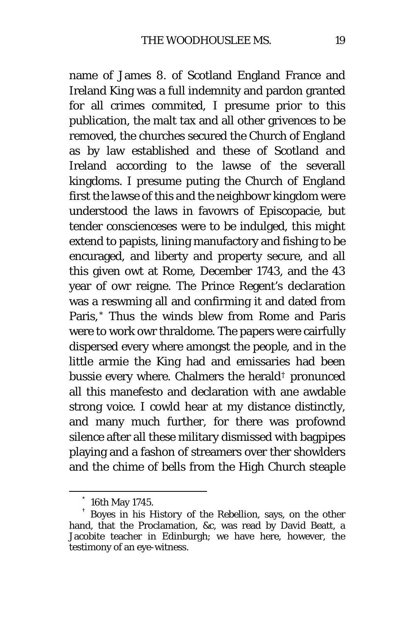name of James 8. of Scotland England France and Ireland King was a full indemnity and pardon granted for all crimes commited, I presume prior to this publication, the malt tax and all other grivences to be removed, the churches secured the Church of England as by law established and these of Scotland and Ireland according to the lawse of the severall kingdoms. I presume puting the Church of England first the lawse of this and the neighbowr kingdom were understood the laws in favowrs of Episcopacie, but tender conscienceses were to be indulged, this might extend to papists, lining manufactory and fishing to be encuraged, and liberty and property secure, and all this given owt at Rome, December 1743, and the 43 year of owr reigne. The Prince Regent's declaration was a reswming all and confirming it and dated from Paris,[\\*](#page-18-0) Thus the winds blew from Rome and Paris were to work owr thraldome. The papers were cairfully dispersed every where amongst the people, and in the little armie the King had and emissaries had been bussie every where. Chalmers the herald[†](#page-18-1) pronunced all this manefesto and declaration with ane awdable strong voice. I cowld hear at my distance distinctly, and many much further, for there was profownd silence after all these military dismissed with bagpipes playing and a fashon of streamers over ther showlders and the chime of bells from the High Church steaple

<span id="page-18-1"></span><span id="page-18-0"></span> <sup>\*</sup> 16th May 1745. † Boyes in his *History of the Rebellion,* says, on the other hand, that the Proclamation, &c, was read by David Beatt, a Jacobite teacher in Edinburgh; we have here, however, the testimony of an eye-witness.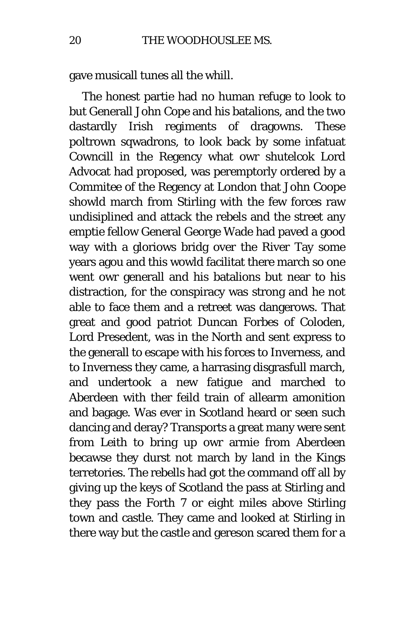gave musicall tunes all the whill.

The honest partie had no human refuge to look to but Generall John Cope and his batalions, and the two dastardly Irish regiments of dragowns. These poltrown sqwadrons, to look back by some infatuat Cowncill in the Regency what owr shutelcok Lord Advocat had proposed, was peremptorly ordered by a Commitee of the Regency at London that John Coope showld march from Stirling with the few forces raw undisiplined and attack the rebels and the street any emptie fellow General George Wade had paved a good way with a gloriows bridg over the River Tay some years agou and this wowld facilitat there march so one went owr generall and his batalions but near to his distraction, for the conspiracy was strong and he not able to face them and a retreet was dangerows. That great and good patriot Duncan Forbes of Coloden, Lord Presedent, was in the North and sent express to the generall to escape with his forces to Inverness, and to Inverness they came, a harrasing disgrasfull march, and undertook a new fatigue and marched to Aberdeen with ther feild train of allearm amonition and bagage. Was ever in Scotland heard or seen such dancing and deray? Transports a great many were sent from Leith to bring up owr armie from Aberdeen becawse they durst not march by land in the Kings terretories. The rebells had got the command off all by giving up the keys of Scotland the pass at Stirling and they pass the Forth *7* or eight miles above Stirling town and castle. They came and looked at Stirling in there way but the castle and gereson scared them for a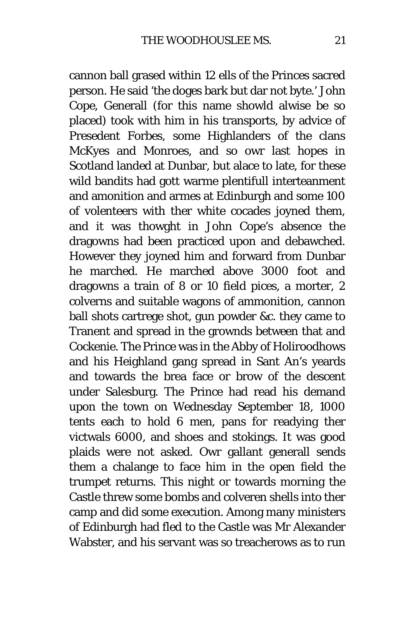cannon ball grased within 12 ells of the Princes sacred person. He said 'the doges bark but dar not byte.' John Cope, Generall (for this name showld alwise be so placed) took with him in his transports, by advice of Presedent Forbes, some Highlanders of the clans McKyes and Monroes, and so owr last hopes in Scotland landed at Dunbar, but alace to late, for these wild bandits had gott warme plentifull interteanment and amonition and armes at Edinburgh and some 100 of volenteers with ther white cocades joyned them, and it was thowght in John Cope's absence the dragowns had been practiced upon and debawched. However they joyned him and forward from Dunbar he marched. He marched above 3000 foot and dragowns a train of 8 or 10 field pices, a morter, 2 colverns and suitable wagons of ammonition, cannon ball shots cartrege shot, gun powder &c. they came to Tranent and spread in the grownds between that and Cockenie. The Prince was in the Abby of Holiroodhows and his Heighland gang spread in Sant An's yeards and towards the brea face or brow of the descent under Salesburg. The Prince had read his demand upon the town on Wednesday September 18, 1000 tents each to hold 6 men, pans for readying ther victwals 6000, and shoes and stokings. It was good plaids were not asked. Owr gallant generall sends them a chalange to face him in the open field the trumpet returns. This night or towards morning the Castle threw some bombs and colveren shells into ther camp and did some execution. Among many ministers of Edinburgh had fled to the Castle was Mr Alexander Wabster, and his servant was so treacherows as to run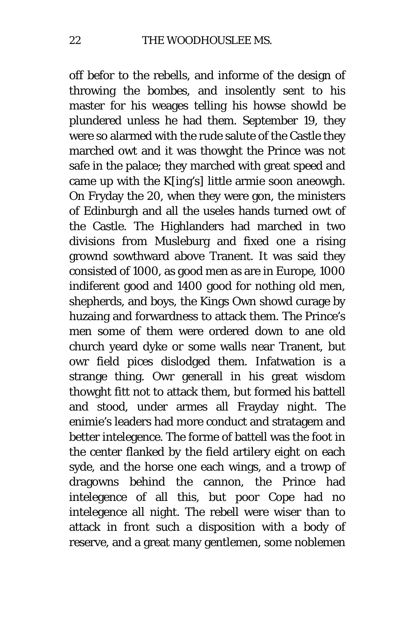off befor to the rebells, and informe of the design of throwing the bombes, and insolently sent to his master for his weages telling his howse showld be plundered unless he had them. September 19, they were so alarmed with the rude salute of the Castle they marched owt and it was thowght the Prince was not safe in the palace; they marched with great speed and came up with the K[ing's] little armie soon aneowgh. On Fryday the 20, when they were gon, the ministers of Edinburgh and all the useles hands turned owt of the Castle. The Highlanders had marched in two divisions from Musleburg and fixed one a rising grownd sowthward above Tranent. It was said they consisted of 1000, as good men as are in Europe, 1000 indiferent good and 1400 good for nothing old men, shepherds, and boys, the Kings Own showd curage by huzaing and forwardness to attack them. The Prince's men some of them were ordered down to ane old church yeard dyke or some walls near Tranent, but owr field pices dislodged them. Infatwation is a strange thing. Owr generall in his great wisdom thowght fitt not to attack them, but formed his battell and stood, under armes all Frayday night. The enimie's leaders had more conduct and stratagem and better intelegence. The forme of battell was the foot in the center flanked by the field artilery eight on each syde, and the horse one each wings, and a trowp of dragowns behind the cannon, the Prince had intelegence of all this, but poor Cope had no intelegence all night. The rebell were wiser than to attack in front such a disposition with a body of reserve, and a great many gentlemen, some noblemen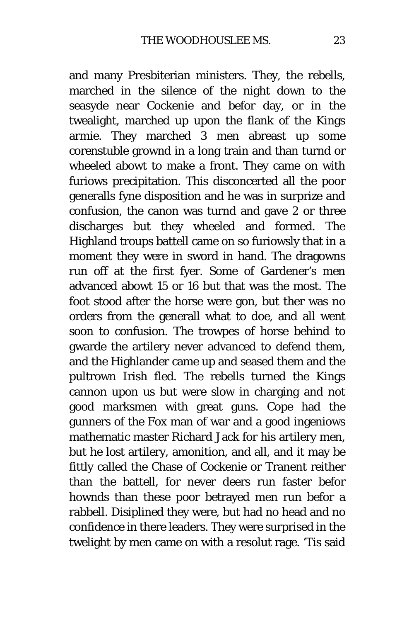and many Presbiterian ministers. They, the rebells, marched in the silence of the night down to the seasyde near Cockenie and befor day, or in the twealight, marched up upon the flank of the Kings armie. They marched 3 men abreast up some corenstuble grownd in a long train and than turnd or wheeled abowt to make a front. They came on with furiows precipitation. This disconcerted all the poor generalls fyne disposition and he was in surprize and confusion, the canon was turnd and gave 2 or three discharges but they wheeled and formed. The Highland troups battell came on so furiowsly that in a moment they were in sword in hand. The dragowns run off at the first fyer. Some of Gardener's men advanced abowt 15 or 16 but that was the most. The foot stood after the horse were gon, but ther was no orders from the generall what to doe, and all went soon to confusion. The trowpes of horse behind to gwarde the artilery never advanced to defend them, and the Highlander came up and seased them and the pultrown Irish fled. The rebells turned the Kings cannon upon us but were slow in charging and not good marksmen with great guns. Cope had the gunners of the *Fox* man of war and a good ingeniows mathematic master Richard Jack for his artilery men, but he lost artilery, amonition, and all, and it may be fittly called the Chase of Cockenie or Tranent reither than the battell, for never deers run faster befor hownds than these poor betrayed men run befor a rabbell. Disiplined they were, but had no head and no confidence in there leaders. They were surprised in the twelight by men came on with a resolut rage. 'Tis said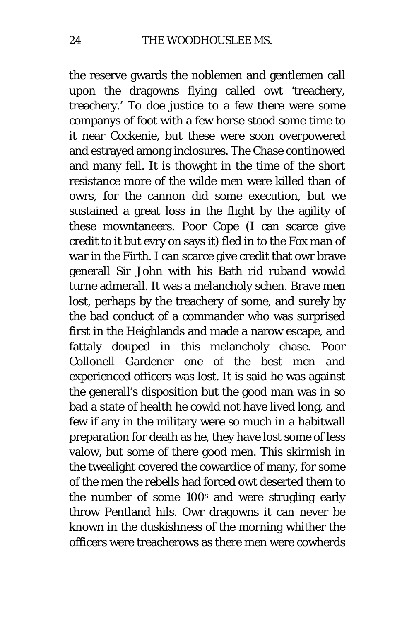the reserve gwards the noblemen and gentlemen call upon the dragowns flying called owt 'treachery, treachery.' To doe justice to a few there were some companys of foot with a few horse stood some time to it near Cockenie, but these were soon overpowered and estrayed among inclosures. The Chase continowed and many fell. It is thowght in the time of the short resistance more of the wilde men were killed than of owrs, for the cannon did some execution, but we sustained a great loss in the flight by the agility of these mowntaneers. Poor Cope (I can scarce give credit to it but evry on says it) fled in to the *Fox* man of war in the Firth. I can scarce give credit that owr brave generall Sir John with his Bath rid ruband wowld turne admerall. It was a melancholy schen. Brave men lost, perhaps by the treachery of some, and surely by the bad conduct of a commander who was surprised first in the Heighlands and made a narow escape, and fattaly douped in this melancholy chase. Poor Collonell Gardener one of the best men and experienced officers was lost. It is said he was against the generall's disposition but the good man was in so bad a state of health he cowld not have lived long, and few if any in the military were so much in a habitwall preparation for death as he, they have lost some of less valow, but some of there good men. This skirmish in the twealight covered the cowardice of many, for some of the men the rebells had forced owt deserted them to the number of some 100<sup>s</sup> and were strugling early throw Pentland hils. Owr dragowns it can never be known in the duskishness of the morning whither the officers were treacherows as there men were cowherds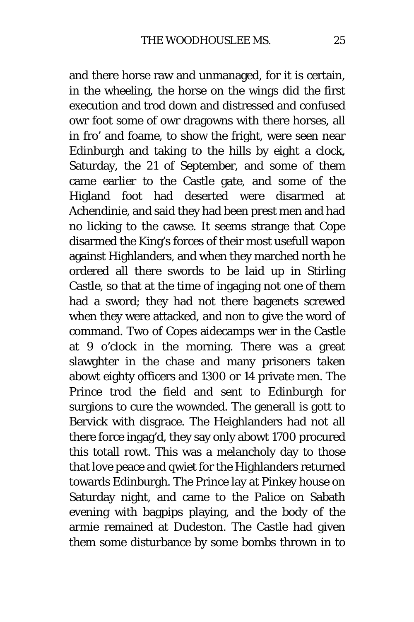and there horse raw and unmanaged, for it is certain, in the wheeling, the horse on the wings did the first execution and trod down and distressed and confused owr foot some of owr dragowns with there horses, all in fro' and foame, to show the fright, were seen near Edinburgh and taking to the hills by eight a clock, Saturday, the 21 of September, and some of them came earlier to the Castle gate, and some of the Higland foot had deserted were disarmed at Achendinie, and said they had been prest men and had no licking to the cawse. It seems strange that Cope disarmed the King's forces of their most usefull wapon against Highlanders, and when they marched north he ordered all there swords to be laid up in Stirling Castle, so that at the time of ingaging not one of them had a sword; they had not there bagenets screwed when they were attacked, and non to give the word of command. Two of Copes aidecamps wer in the Castle at 9 o'clock in the morning. There was a great slawghter in the chase and many prisoners taken abowt eighty officers and 1300 or 14 private men. The Prince trod the field and sent to Edinburgh for surgions to cure the wownded. The generall is gott to Bervick with disgrace. The Heighlanders had not all there force ingag'd, they say only abowt 1700 procured this totall rowt. This was a melancholy day to those that love peace and qwiet for the Highlanders returned towards Edinburgh. The Prince lay at Pinkey house on Saturday night, and came to the Palice on Sabath evening with bagpips playing, and the body of the armie remained at Dudeston. The Castle had given them some disturbance by some bombs thrown in to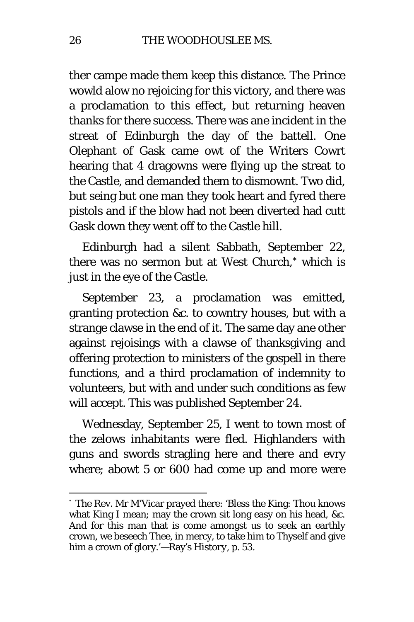ther campe made them keep this distance. The Prince wowld alow no rejoicing for this victory, and there was a proclamation to this effect, but returning heaven thanks for there success. There was ane incident in the streat of Edinburgh the day of the battell. One Olephant of Gask came owt of the Writers Cowrt hearing that 4 dragowns were flying up the streat to the Castle, and demanded them to dismownt. Two did, but seing but one man they took heart and fyred there pistols and if the blow had not been diverted had cutt Gask down they went off to the Castle hill.

Edinburgh had a silent Sabbath, September 22, there was no sermon but at West Church,[\\*](#page-25-0) which is just in the eye of the Castle.

September 23, a proclamation was emitted, granting protection &c. to cowntry houses, but with a strange clawse in the end of it. The same day ane other against rejoisings with a clawse of thanksgiving and offering protection to ministers of the gospell in there functions, and a third proclamation of indemnity to volunteers, but with and under such conditions as few will accept. This was published September 24.

Wednesday, September 25, I went to town most of the zelows inhabitants were fled. Highlanders with guns and swords stragling here and there and evry where; abowt 5 or 600 had come up and more were

<span id="page-25-0"></span> <sup>\*</sup> The Rev. Mr M'Vicar prayed there: 'Bless the King: Thou knows what King I mean; may the crown sit long easy on his head, &c. And for this man that is come amongst us to seek an earthly crown, we beseech Thee, in mercy, to take him to Thyself and give him a crown of glory.'—Ray's *History,* p. 53.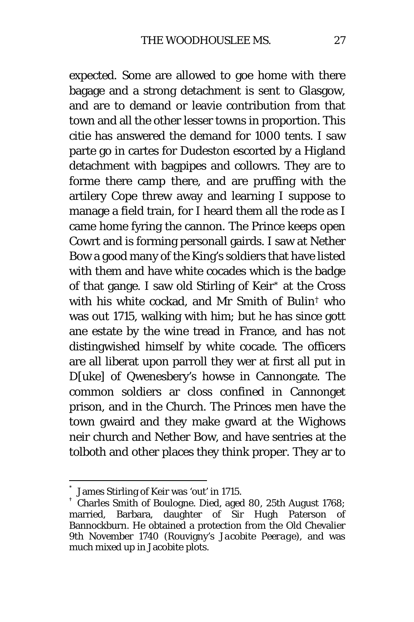expected. Some are allowed to goe home with there bagage and a strong detachment is sent to Glasgow, and are to demand or leavie contribution from that town and all the other lesser towns in proportion. This citie has answered the demand for 1000 tents. I saw parte go in cartes for Dudeston escorted by a Higland detachment with bagpipes and collowrs. They are to forme there camp there, and are pruffing with the artilery Cope threw away and learning I suppose to manage a field train, for I heard them all the rode as I came home fyring the cannon. The Prince keeps open Cowrt and is forming personall gairds. I saw at Nether Bow a good many of the King's soldiers that have listed with them and have white cocades which is the badge of that gange. I saw old Stirling of Keir[\\*](#page-26-0) at the Cross with his white cockad, and Mr Smith of Bulin[†](#page-26-1) who was out 1715, walking with him; but he has since gott ane estate by the wine tread in France, and has not distingwished himself by white cocade. The officers are all liberat upon parroll they wer at first all put in D[uke] of Qwenesbery's howse in Cannongate. The common soldiers ar closs confined in Cannonget prison, and in the Church. The Princes men have the town gwaird and they make gward at the Wighows neir church and Nether Bow, and have sentries at the tolboth and other places they think proper. They ar to

<span id="page-26-1"></span><span id="page-26-0"></span> $^*$  James Stirling of Keir was 'out' in 1715.<br> $^+$  Charles Smith of Boulogne. Died, aged 80, 25th August 1768; married, Barbara, daughter of Sir Hugh Paterson of Bannockburn. He obtained a protection from the Old Chevalier 9th November 1740 (Rouvigny's *Jacobite Peerage),* and was much mixed up in Jacobite plots.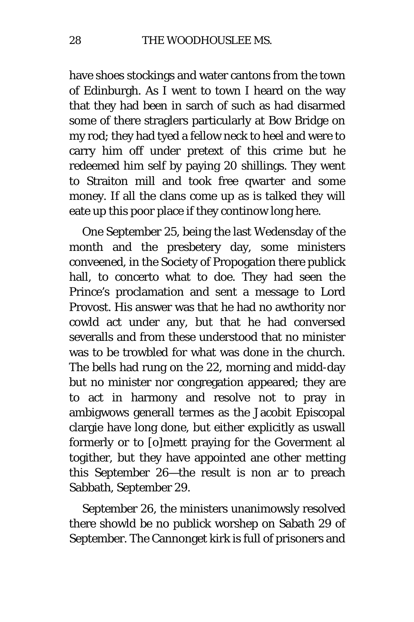have shoes stockings and water cantons from the town of Edinburgh. As I went to town I heard on the way that they had been in sarch of such as had disarmed some of there straglers particularly at Bow Bridge on my rod; they had tyed a fellow neck to heel and were to carry him off under pretext of this crime but he redeemed him self by paying 20 shillings. They went to Straiton mill and took free qwarter and some money. If all the clans come up as is talked they will eate up this poor place if they continow long here.

One September 25, being the last Wedensday of the month and the presbetery day, some ministers conveened, in the Society of Propogation there publick hall, to concerto what to doe. They had seen the Prince's proclamation and sent a message to Lord Provost. His answer was that he had no awthority nor cowld act under any, but that he had conversed severalls and from these understood that no minister was to be trowbled for what was done in the church. The bells had rung on the 22, morning and midd-day but no minister nor congregation appeared; they are to act in harmony and resolve not to pray in ambigwows generall termes as the Jacobit Episcopal clargie have long done, but either explicitly as uswall formerly or to [o]mett praying for the Goverment al togither, but they have appointed ane other metting this September 26—the result is non ar to preach Sabbath, September 29.

September 26, the ministers unanimowsly resolved there showld be no publick worshep on Sabath 29 of September. The Cannonget kirk is full of prisoners and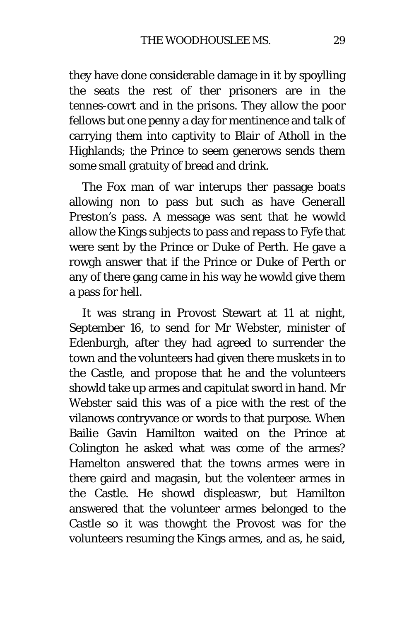they have done considerable damage in it by spoylling the seats the rest of ther prisoners are in the tennes-cowrt and in the prisons. They allow the poor fellows but one penny a day for mentinence and talk of carrying them into captivity to Blair of Atholl in the Highlands; the Prince to seem generows sends them some small gratuity of bread and drink.

The *Fox* man of war interups ther passage boats allowing non to pass but such as have Generall Preston's pass. A message was sent that he wowld allow the Kings subjects to pass and repass to Fyfe that were sent by the Prince or Duke of Perth. He gave a rowgh answer that if the Prince or Duke of Perth or any of there gang came in his way he wowld give them a pass for hell.

It was strang in Provost Stewart at 11 at night, September 16, to send for Mr Webster, minister of Edenburgh, after they had agreed to surrender the town and the volunteers had given there muskets in to the Castle, and propose that he and the volunteers showld take up armes and capitulat sword in hand. Mr Webster said this was of a pice with the rest of the vilanows contryvance or words to that purpose. When Bailie Gavin Hamilton waited on the Prince at Colington he asked what was come of the armes? Hamelton answered that the towns armes were in there gaird and magasin, but the volenteer armes in the Castle. He showd displeaswr, but Hamilton answered that the volunteer armes belonged to the Castle so it was thowght the Provost was for the volunteers resuming the Kings armes, and as, he said,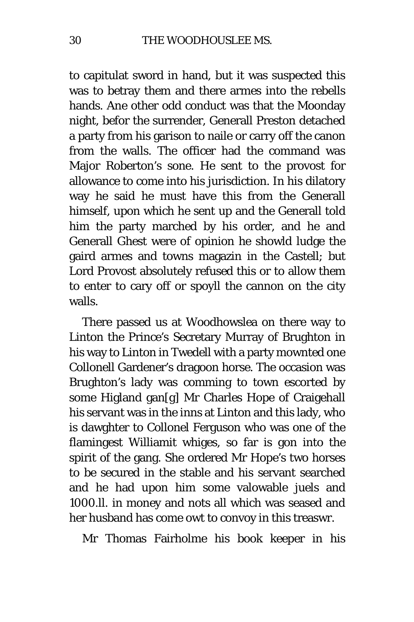to capitulat sword in hand, but it was suspected this was to betray them and there armes into the rebells hands. Ane other odd conduct was that the Moonday night, befor the surrender, Generall Preston detached a party from his garison to naile or carry off the canon from the walls. The officer had the command was Major Roberton's sone. He sent to the provost for allowance to come into his jurisdiction. In his dilatory way he said he must have this from the Generall himself, upon which he sent up and the Generall told him the party marched by his order, and he and Generall Ghest were of opinion he showld ludge the gaird armes and towns magazin in the Castell; but Lord Provost absolutely refused this or to allow them to enter to cary off or spoyll the cannon on the city walls.

There passed us at Woodhowslea on there way to Linton the Prince's Secretary Murray of Brughton in his way to Linton in Twedell with a party mownted one Collonell Gardener's dragoon horse. The occasion was Brughton's lady was comming to town escorted by some Higland gan[g] Mr Charles Hope of Craigehall his servant was in the inns at Linton and this lady, who is dawghter to Collonel Ferguson who was one of the flamingest Williamit whiges, so far is gon into the spirit of the gang. She ordered Mr Hope's two horses to be secured in the stable and his servant searched and he had upon him some valowable juels and 1000.*ll.* in money and nots all which was seased and her husband has come owt to convoy in this treaswr.

Mr Thomas Fairholme his book keeper in his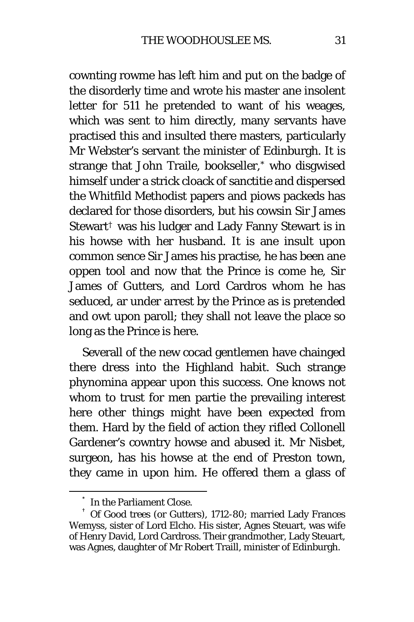cownting rowme has left him and put on the badge of the disorderly time and wrote his master ane insolent letter for 5*11* he pretended to want of his weages, which was sent to him directly, many servants have practised this and insulted there masters, particularly Mr Webster's servant the minister of Edinburgh. It is strange that John Traile, bookseller,[\\*](#page-30-0) who disgwised himself under a strick cloack of sanctitie and dispersed the Whitfild Methodist papers and piows packeds has declared for those disorders, but his cowsin Sir James Stewart<sup>[†](#page-30-1)</sup> was his ludger and Lady Fanny Stewart is in his howse with her husband. It is ane insult upon common sence Sir James his practise, he has been ane oppen tool and now that the Prince is come he, Sir James of Gutters, and Lord Cardros whom he has seduced, ar under arrest by the Prince as is pretended and owt upon paroll; they shall not leave the place so long as the Prince is here.

Severall of the new cocad gentlemen have chainged there dress into the Highland habit. Such strange phynomina appear upon this success. One knows not whom to trust for men partie the prevailing interest here other things might have been expected from them. Hard by the field of action they rifled Collonell Gardener's cowntry howse and abused it. Mr Nisbet, surgeon, has his howse at the end of Preston town, they came in upon him. He offered them a glass of

<span id="page-30-1"></span><span id="page-30-0"></span> $^\ast$  In the Parliament Close.<br>† Of Good trees (or Gutters), 1712-80; married Lady Frances Wemyss, sister of Lord Elcho. His sister, Agnes Steuart, was wife of Henry David, Lord Cardross. Their grandmother, Lady Steuart, was Agnes, daughter of Mr Robert Traill, minister of Edinburgh.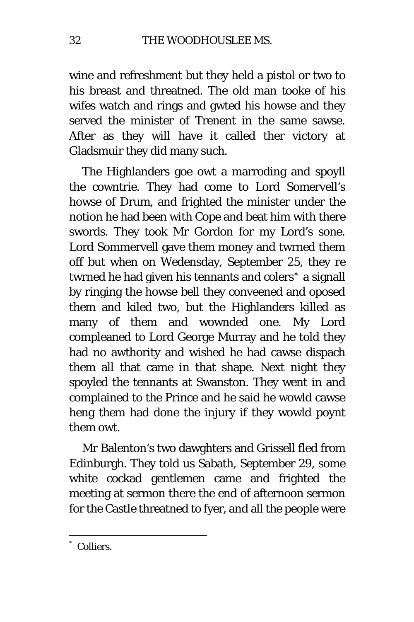wine and refreshment but they held a pistol or two to his breast and threatned. The old man tooke of his wifes watch and rings and gwted his howse and they served the minister of Trenent in the same sawse. After as they will have it called ther victory at Gladsmuir they did many such.

The Highlanders goe owt a marroding and spoyll the cowntrie. They had come to Lord Somervell's howse of Drum, and frighted the minister under the notion he had been with Cope and beat him with there swords. They took Mr Gordon for my Lord's sone. Lord Sommervell gave them money and twrned them off but when on Wedensday, September 25, they re twrned he had given his tennants and colers[\\*](#page-31-0) a signall by ringing the howse bell they conveened and oposed them and kiled two, but the Highlanders killed as many of them and wownded one. My Lord compleaned to Lord George Murray and he told they had no awthority and wished he had cawse dispach them all that came in that shape. Next night they spoyled the tennants at Swanston. They went in and complained to the Prince and he said he wowld cawse heng them had done the injury if they wowld poynt them owt.

Mr Balenton's two dawghters and Grissell fled from Edinburgh. They told us Sabath, September 29, some white cockad gentlemen came and frighted the meeting at sermon there the end of afternoon sermon for the Castle threatned to fyer, and all the people were

<span id="page-31-0"></span>Colliers.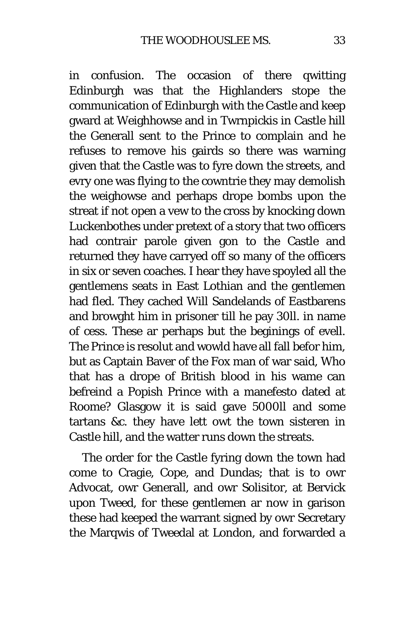in confusion. The occasion of there qwitting Edinburgh was that the Highlanders stope the communication of Edinburgh with the Castle and keep gward at Weighhowse and in Twrnpickis in Castle hill the Generall sent to the Prince to complain and he refuses to remove his gairds so there was warning given that the Castle was to fyre down the streets, and evry one was flying to the cowntrie they may demolish the weighowse and perhaps drope bombs upon the streat if not open a vew to the cross by knocking down Luckenbothes under pretext of a story that two officers had contrair parole given gon to the Castle and returned they have carryed off so many of the officers in six or seven coaches. I hear they have spoyled all the gentlemens seats in East Lothian and the gentlemen had fled. They cached Will Sandelands of Eastbarens and browght him in prisoner till he pay 30*ll.* in name of cess. These ar perhaps but the beginings of evell. The Prince is resolut and wowld have all fall befor him, but as Captain Baver of the *Fox* man of war said, Who that has a drope of British blood in his wame can befreind a Popish Prince with a manefesto dated at Roome? Glasgow it is said gave 5000*ll* and some tartans &c. they have lett owt the town sisteren in Castle hill, and the watter runs down the streats.

The order for the Castle fyring down the town had come to Cragie, Cope, and Dundas; that is to owr Advocat, owr Generall, and owr Solisitor, at Bervick upon Tweed, for these gentlemen ar now in garison these had keeped the warrant signed by owr Secretary the Marqwis of Tweedal at London, and forwarded a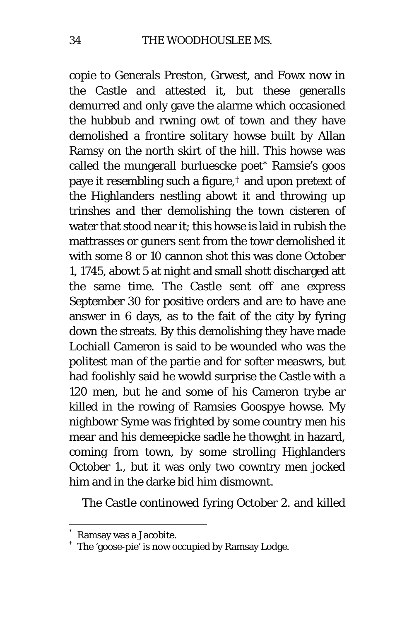copie to Generals Preston, Grwest, and Fowx now in the Castle and attested it, but these generalls demurred and only gave the alarme which occasioned the hubbub and rwning owt of town and they have demolished a frontire solitary howse built by Allan Ramsy on the north skirt of the hill. This howse was called the mungerall burluescke poet[\\*](#page-33-0) Ramsie's goos paye it resembling such a figure,[†](#page-33-1) and upon pretext of the Highlanders nestling abowt it and throwing up trinshes and ther demolishing the town cisteren of water that stood near it; this howse is laid in rubish the mattrasses or guners sent from the towr demolished it with some 8 or 10 cannon shot this was done October 1, 1745, abowt 5 at night and small shott discharged att the same time. The Castle sent off ane express September 30 for positive orders and are to have ane answer in 6 days, as to the fait of the city by fyring down the streats. By this demolishing they have made Lochiall Cameron is said to be wounded who was the politest man of the partie and for softer measwrs, but had foolishly said he wowld surprise the Castle with a 120 men, but he and some of his Cameron trybe ar killed in the rowing of Ramsies Goospye howse. My nighbowr Syme was frighted by some country men his mear and his demeepicke sadle he thowght in hazard, coming from town, by some strolling Highlanders October 1., but it was only two cowntry men jocked him and in the darke bid him dismownt.

The Castle continowed fyring October 2. and killed

<span id="page-33-1"></span><span id="page-33-0"></span>

<sup>%</sup> Ramsay was a Jacobite.<br>The 'goose-pie' is now occupied by Ramsay Lodge.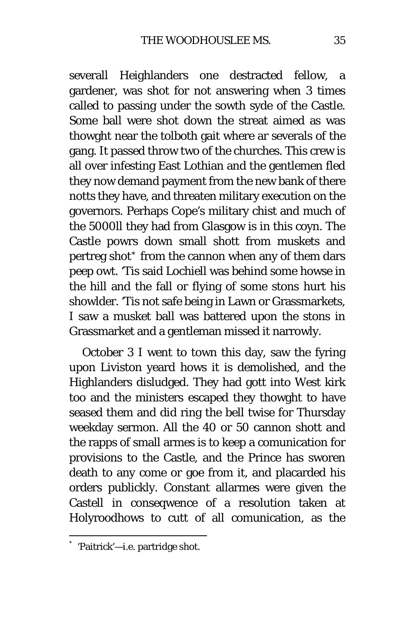severall Heighlanders one destracted fellow, a gardener, was shot for not answering when 3 times called to passing under the sowth syde of the Castle. Some ball were shot down the streat aimed as was thowght near the tolboth gait where ar severals of the gang. It passed throw two of the churches. This crew is all over infesting East Lothian and the gentlemen fled they now demand payment from the new bank of there notts they have, and threaten military execution on the governors. Perhaps Cope's military chist and much of the 5000*ll* they had from Glasgow is in this coyn. The Castle powrs down small shott from muskets and pertreg shot[\\*](#page-34-0) from the cannon when any of them dars peep owt. 'Tis said Lochiell was behind some howse in the hill and the fall or flying of some stons hurt his showlder. 'Tis not safe being in Lawn or Grassmarkets, I saw a musket ball was battered upon the stons in Grassmarket and a gentleman missed it narrowly.

October 3 I went to town this day, saw the fyring upon Liviston yeard hows it is demolished, and the Highlanders disludged. They had gott into West kirk too and the ministers escaped they thowght to have seased them and did ring the bell twise for Thursday weekday sermon. All the 40 or 50 cannon shott and the rapps of small armes is to keep a comunication for provisions to the Castle, and the Prince has sworen death to any come or goe from it, and placarded his orders publickly. Constant allarmes were given the Castell in conseqwence of a resolution taken at Holyroodhows to cutt of all comunication, as the

<span id="page-34-0"></span> <sup>\*</sup> 'Paitrick'—i.e. partridge shot.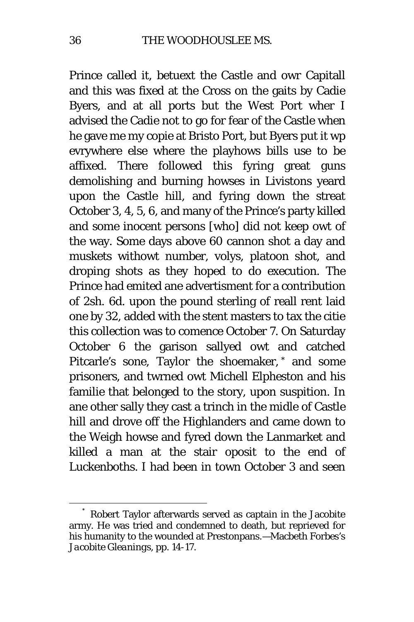Prince called it, betuext the Castle and owr Capitall and this was fixed at the Cross on the gaits by Cadie Byers, and at all ports but the West Port wher I advised the Cadie not to go for fear of the Castle when he gave me my copie at Bristo Port, but Byers put it wp evrywhere else where the playhows bills use to be affixed. There followed this fyring great guns demolishing and burning howses in Livistons yeard upon the Castle hill, and fyring down the streat October 3, 4, 5, 6, and many of the Prince's party killed and some inocent persons [who] did not keep owt of the way. Some days above 60 cannon shot a day and muskets withowt number, volys, platoon shot, and droping shots as they hoped to do execution. The Prince had emited ane advertisment for a contribution of 2sh. 6d. upon the pound sterling of reall rent laid one by 32, added with the stent masters to tax the citie this collection was to comence October 7. On Saturday October 6 the garison sallyed owt and catched Pitcarle's sone, Taylor the shoemaker, [\\*](#page-35-0) and some prisoners, and twrned owt Michell Elpheston and his familie that belonged to the story, upon suspition. In ane other sally they cast a trinch in the midle of Castle hill and drove off the Highlanders and came down to the Weigh howse and fyred down the Lanmarket and killed a man at the stair oposit to the end of Luckenboths. I had been in town October 3 and seen

<span id="page-35-0"></span>Robert Taylor afterwards served as captain in the Jacobite army. He was tried and condemned to death, but reprieved for his humanity to the wounded at Prestonpans.—Macbeth Forbes's *Jacobite Gleanings,* pp. 14-17.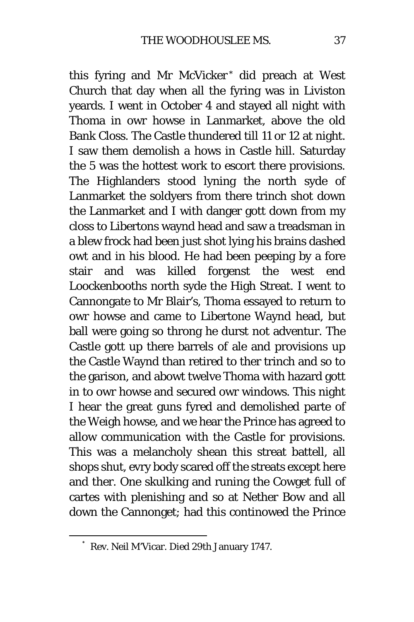this fyring and Mr McVicker [\\*](#page-36-0) did preach at West Church that day when all the fyring was in Liviston yeards. I went in October 4 and stayed all night with Thoma in owr howse in Lanmarket, above the old Bank Closs. The Castle thundered till 11 or 12 at night. I saw them demolish a hows in Castle hill. Saturday the 5 was the hottest work to escort there provisions. The Highlanders stood lyning the north syde of Lanmarket the soldyers from there trinch shot down the Lanmarket and I with danger gott down from my closs to Libertons waynd head and saw a treadsman in a blew frock had been just shot lying his brains dashed owt and in his blood. He had been peeping by a fore stair and was killed forgenst the west end Loockenbooths north syde the High Streat. I went to Cannongate to Mr Blair's, Thoma essayed to return to owr howse and came to Libertone Waynd head, but ball were going so throng he durst not adventur. The Castle gott up there barrels of ale and provisions up the Castle Waynd than retired to ther trinch and so to the garison, and abowt twelve Thoma with hazard gott in to owr howse and secured owr windows. This night I hear the great guns fyred and demolished parte of the Weigh howse, and we hear the Prince has agreed to allow communication with the Castle for provisions. This was a melancholy shean this streat battell, all shops shut, evry body scared off the streats except here and ther. One skulking and runing the Cowget full of cartes with plenishing and so at Nether Bow and all down the Cannonget; had this continowed the Prince

<span id="page-36-0"></span> <sup>\*</sup> Rev. Neil M'Vicar. Died 29th January 1747.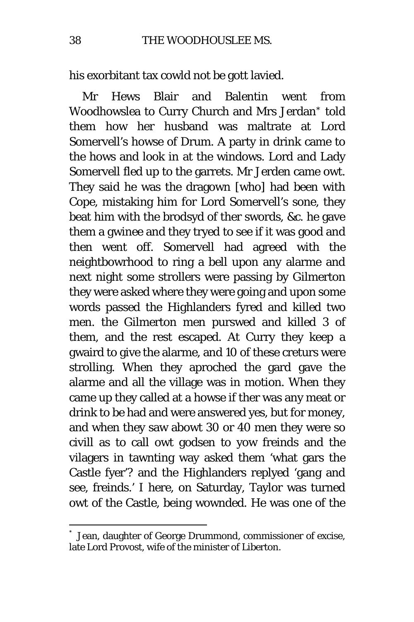his exorbitant tax cowld not be gott lavied.

Mr Hews Blair and Balentin went from Woodhowslea to Curry Church and Mrs Jerdan[\\*](#page-37-0) told them how her husband was maltrate at Lord Somervell's howse of Drum. A party in drink came to the hows and look in at the windows. Lord and Lady Somervell fled up to the garrets. Mr Jerden came owt. They said he was the dragown [who] had been with Cope, mistaking him for Lord Somervell's sone, they beat him with the brodsyd of ther swords, &c. he gave them a gwinee and they tryed to see if it was good and then went off. Somervell had agreed with the neightbowrhood to ring a bell upon any alarme and next night some strollers were passing by Gilmerton they were asked where they were going and upon some words passed the Highlanders fyred and killed two men. the Gilmerton men purswed and killed 3 of them, and the rest escaped. At Curry they keep a gwaird to give the alarme, and 10 of these creturs were strolling. When they aproched the gard gave the alarme and all the village was in motion. When they came up they called at a howse if ther was any meat or drink to be had and were answered yes, but for money, and when they saw abowt 30 or 40 men they were so civill as to call owt godsen to yow freinds and the vilagers in tawnting way asked them 'what gars the Castle fyer'? and the Highlanders replyed 'gang and see, freinds.' I here, on Saturday, Taylor was turned owt of the Castle, being wownded. He was one of the

<span id="page-37-0"></span>Jean, daughter of George Drummond, commissioner of excise, late Lord Provost, wife of the minister of Liberton.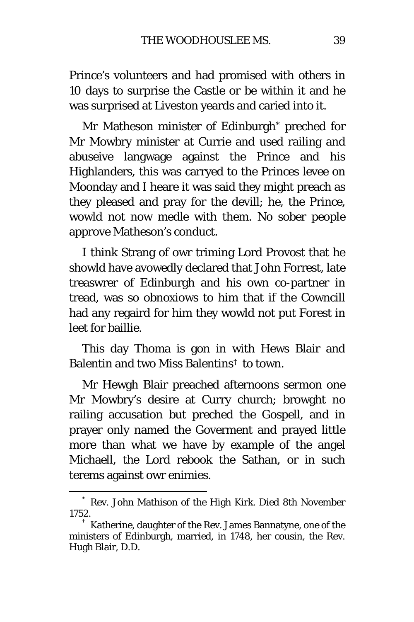Prince's volunteers and had promised with others in 10 days to surprise the Castle or be within it and he was surprised at Liveston yeards and caried into it.

Mr Matheson minister of Edinburgh[\\*](#page-38-0) preched for Mr Mowbry minister at Currie and used railing and abuseive langwage against the Prince and his Highlanders, this was carryed to the Princes levee on Moonday and I heare it was said they might preach as they pleased and pray for the devill; he, the Prince, wowld not now medle with them. No sober people approve Matheson's conduct.

I think Strang of owr triming Lord Provost that he showld have avowedly declared that John Forrest, late treaswrer of Edinburgh and his own co-partner in tread, was so obnoxiows to him that if the Cowncill had any regaird for him they wowld not put Forest in leet for baillie.

This day Thoma is gon in with Hews Blair and Balentin and two Miss Balentins[†](#page-38-1) to town.

Mr Hewgh Blair preached afternoons sermon one Mr Mowbry's desire at Curry church; browght no railing accusation but preched the Gospell, and in prayer only named the Goverment and prayed little more than what we have by example of the angel Michaell, the Lord rebook the Sathan, or in such terems against owr enimies.

<span id="page-38-0"></span> <sup>\*</sup> Rev. John Mathison of the High Kirk. Died 8th November 1752. † Katherine, daughter of the Rev. James Bannatyne, one of the

<span id="page-38-1"></span>ministers of Edinburgh, married, in 1748, her cousin, the Rev. Hugh Blair, D.D.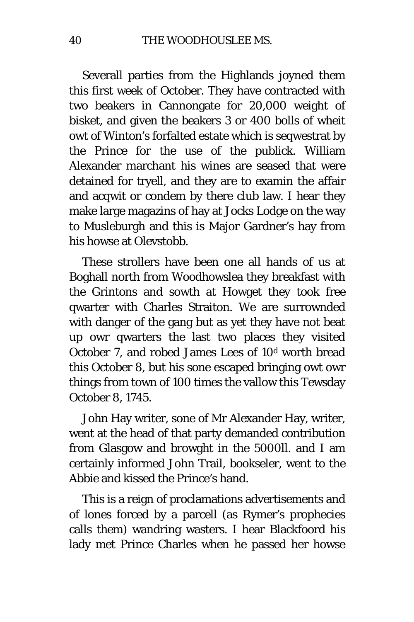Severall parties from the Highlands joyned them this first week of October. They have contracted with two beakers in Cannongate for 20,000 weight of bisket, and given the beakers 3 or 400 bolls of wheit owt of Winton's forfalted estate which is seqwestrat by the Prince for the use of the publick. William Alexander marchant his wines are seased that were detained for tryell, and they are to examin the affair and acqwit or condem by there club law. I hear they make large magazins of hay at Jocks Lodge on the way to Musleburgh and this is Major Gardner's hay from his howse at Olevstobb.

These strollers have been one all hands of us at Boghall north from Woodhowslea they breakfast with the Grintons and sowth at Howget they took free qwarter with Charles Straiton. We are surrownded with danger of the gang but as yet they have not beat up owr qwarters the last two places they visited October *7,* and robed James Lees of 10d worth bread this October 8, but his sone escaped bringing owt owr things from town of 100 times the vallow this Tewsday October 8, 1745.

John Hay writer, sone of Mr Alexander Hay, writer, went at the head of that party demanded contribution from Glasgow and browght in the 5000*ll.* and I am certainly informed John Trail, bookseler, went to the Abbie and kissed the Prince's hand.

This is a reign of proclamations advertisements and of lones forced by a parcell (as Rymer's prophecies calls them) wandring wasters. I hear Blackfoord his lady met Prince Charles when he passed her howse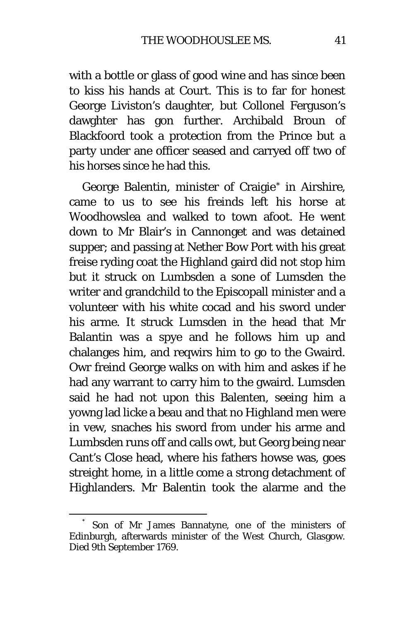with a bottle or glass of good wine and has since been to kiss his hands at Court. This is to far for honest George Liviston's daughter, but Collonel Ferguson's dawghter has gon further. Archibald Broun of Blackfoord took a protection from the Prince but a party under ane officer seased and carryed off two of his horses since he had this.

George Balentin, minister of Craigie[\\*](#page-40-0) in Airshire, came to us to see his freinds left his horse at Woodhowslea and walked to town afoot. He went down to Mr Blair's in Cannonget and was detained supper; and passing at Nether Bow Port with his great freise ryding coat the Highland gaird did not stop him but it struck on Lumbsden a sone of Lumsden the writer and grandchild to the Episcopall minister and a volunteer with his white cocad and his sword under his arme. It struck Lumsden in the head that Mr Balantin was a spye and he follows him up and chalanges him, and reqwirs him to go to the Gwaird. Owr freind George walks on with him and askes if he had any warrant to carry him to the gwaird. Lumsden said he had not upon this Balenten, seeing him a yowng lad licke a beau and that no Highland men were in vew, snaches his sword from under his arme and Lumbsden runs off and calls owt, but Georg being near Cant's Close head, where his fathers howse was, goes streight home, in a little come a strong detachment of Highlanders. Mr Balentin took the alarme and the

<span id="page-40-0"></span>Son of Mr James Bannatyne, one of the ministers of Edinburgh, afterwards minister of the West Church, Glasgow. Died 9th September 1769.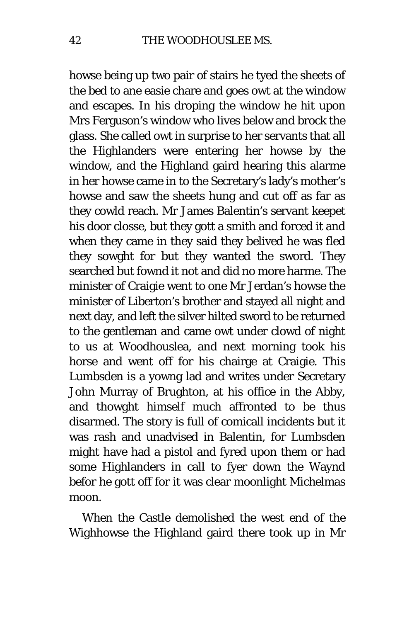howse being up two pair of stairs he tyed the sheets of the bed to ane easie chare and goes owt at the window and escapes. In his droping the window he hit upon Mrs Ferguson's window who lives below and brock the glass. She called owt in surprise to her servants that all the Highlanders were entering her howse by the window, and the Highland gaird hearing this alarme in her howse came in to the Secretary's lady's mother's howse and saw the sheets hung and cut off as far as they cowld reach. Mr James Balentin's servant keepet his door closse, but they gott a smith and forced it and when they came in they said they belived he was fled they sowght for but they wanted the sword. They searched but fownd it not and did no more harme. The minister of Craigie went to one Mr Jerdan's howse the minister of Liberton's brother and stayed all night and next day, and left the silver hilted sword to be returned to the gentleman and came owt under clowd of night to us at Woodhouslea, and next morning took his horse and went off for his chairge at Craigie. This Lumbsden is a yowng lad and writes under Secretary John Murray of Brughton, at his office in the Abby, and thowght himself much affronted to be thus disarmed. The story is full of comicall incidents but it was rash and unadvised in Balentin, for Lumbsden might have had a pistol and fyred upon them or had some Highlanders in call to fyer down the Waynd befor he gott off for it was clear moonlight Michelmas moon.

When the Castle demolished the west end of the Wighhowse the Highland gaird there took up in Mr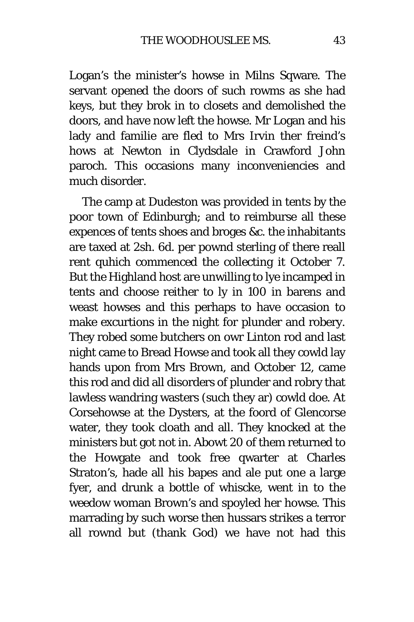Logan's the minister's howse in Milns Sqware. The servant opened the doors of such rowms as she had keys, but they brok in to closets and demolished the doors, and have now left the howse. Mr Logan and his lady and familie are fled to Mrs Irvin ther freind's hows at Newton in Clydsdale in Crawford John paroch. This occasions many inconveniencies and much disorder.

The camp at Dudeston was provided in tents by the poor town of Edinburgh; and to reimburse all these expences of tents shoes and broges &c. the inhabitants are taxed at 2sh. 6d. per pownd sterling of there reall rent quhich commenced the collecting it October 7. But the Highland host are unwilling to lye incamped in tents and choose reither to ly in 100 in barens and weast howses and this perhaps to have occasion to make excurtions in the night for plunder and robery. They robed some butchers on owr Linton rod and last night came to Bread Howse and took all they cowld lay hands upon from Mrs Brown, and October 12, came this rod and did all disorders of plunder and robry that lawless wandring wasters (such they ar) cowld doe. At Corsehowse at the Dysters, at the foord of Glencorse water, they took cloath and all. They knocked at the ministers but got not in. Abowt 20 of them returned to the Howgate and took free qwarter at Charles Straton's, hade all his bapes and ale put one a large fyer, and drunk a bottle of whiscke, went in to the weedow woman Brown's and spoyled her howse. This marrading by such worse then hussars strikes a terror all rownd but (thank God) we have not had this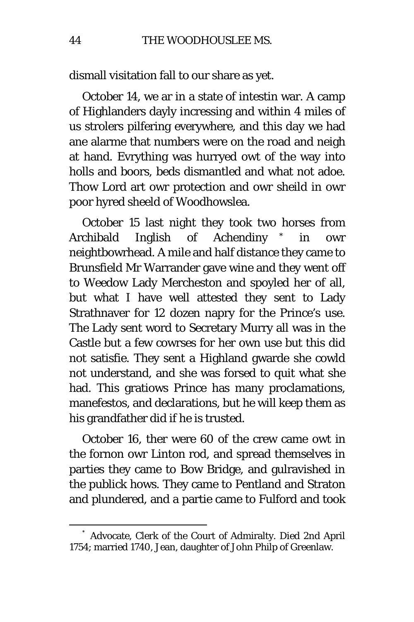dismall visitation fall to our share as yet.

October 14, we ar in a state of intestin war. A camp of Highlanders dayly incressing and within 4 miles of us strolers pilfering everywhere, and this day we had ane alarme that numbers were on the road and neigh at hand. Evrything was hurryed owt of the way into holls and boors, beds dismantled and what not adoe. Thow Lord art owr protection and owr sheild in owr poor hyred sheeld of Woodhowslea.

October 15 last night they took two horses from Archibald Inglish of Achendiny [\\*](#page-43-0) in owr neightbowrhead. A mile and half distance they came to Brunsfield Mr Warrander gave wine and they went off to Weedow Lady Mercheston and spoyled her of all, but what I have well attested they sent to Lady Strathnaver for 12 dozen napry for the Prince's use. The Lady sent word to Secretary Murry all was in the Castle but a few cowrses for her own use but this did not satisfie. They sent a Highland gwarde she cowld not understand, and she was forsed to quit what she had. This gratiows Prince has many proclamations, manefestos, and declarations, but he will keep them as his grandfather did if he is trusted.

October 16, ther were 60 of the crew came owt in the fornon owr Linton rod, and spread themselves in parties they came to Bow Bridge, and gulravished in the publick hows. They came to Pentland and Straton and plundered, and a partie came to Fulford and took

<span id="page-43-0"></span> <sup>\*</sup> Advocate, Clerk of the Court of Admiralty. Died 2nd April 1754; married 1740, Jean, daughter of John Philp of Greenlaw.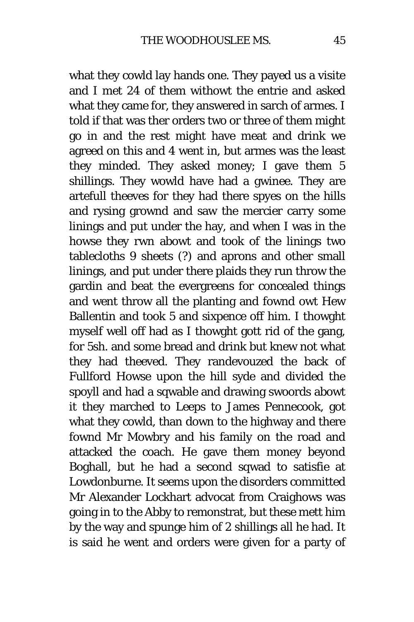what they cowld lay hands one. They payed us a visite and I met 24 of them withowt the entrie and asked what they came for, they answered in sarch of armes. I told if that was ther orders two or three of them might go in and the rest might have meat and drink we agreed on this and 4 went in, but armes was the least they minded. They asked money; I gave them 5 shillings. They wowld have had a gwinee. They are artefull theeves for they had there spyes on the hills and rysing grownd and saw the mercier carry some linings and put under the hay, and when I was in the howse they rwn abowt and took of the linings two tablecloths 9 sheets (?) and aprons and other small linings, and put under there plaids they run throw the gardin and beat the evergreens for concealed things and went throw all the planting and fownd owt Hew Ballentin and took 5 and sixpence off him. I thowght myself well off had as I thowght gott rid of the gang, for 5sh. and some bread and drink but knew not what they had theeved. They randevouzed the back of Fullford Howse upon the hill syde and divided the spoyll and had a sqwable and drawing swoords abowt it they marched to Leeps to James Pennecook, got what they cowld, than down to the highway and there fownd Mr Mowbry and his family on the road and attacked the coach. He gave them money beyond Boghall, but he had a second sqwad to satisfie at Lowdonburne. It seems upon the disorders committed Mr Alexander Lockhart advocat from Craighows was going in to the Abby to remonstrat, but these mett him by the way and spunge him of 2 shillings all he had. It is said he went and orders were given for a party of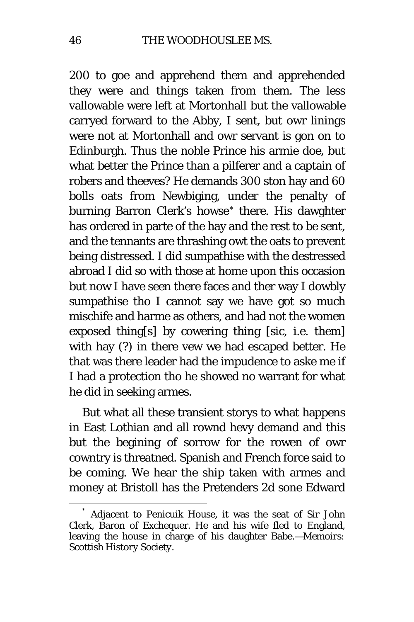200 to goe and apprehend them and apprehended they were and things taken from them. The less vallowable were left at Mortonhall but the vallowable carryed forward to the Abby, I sent, but owr linings were not at Mortonhall and owr servant is gon on to Edinburgh. Thus the noble Prince his armie doe, but what better the Prince than a pilferer and a captain of robers and theeves? He demands 300 ston hay and 60 bolls oats from Newbiging, under the penalty of burning Barron Clerk's howse<sup>[\\*](#page-45-0)</sup> there. His dawghter has ordered in parte of the hay and the rest to be sent, and the tennants are thrashing owt the oats to prevent being distressed. I did sumpathise with the destressed abroad I did so with those at home upon this occasion but now I have seen there faces and ther way I dowbly sumpathise tho I cannot say we have got so much mischife and harme as others, and had not the women exposed thing[s] by cowering thing [*sic,* i.e. them] with hay (?) in there vew we had escaped better. He that was there leader had the impudence to aske me if I had a protection tho he showed no warrant for what he did in seeking armes.

But what all these transient storys to what happens in East Lothian and all rownd hevy demand and this but the begining of sorrow for the rowen of owr cowntry is threatned. Spanish and French force said to be coming. We hear the ship taken with armes and money at Bristoll has the Pretenders 2d sone Edward

<span id="page-45-0"></span>Adjacent to Penicuik House, it was the seat of Sir John Clerk, Baron of Exchequer. He and his wife fled to England, leaving the house in charge of his daughter Babe.—*Memoirs: Scottish History Society.*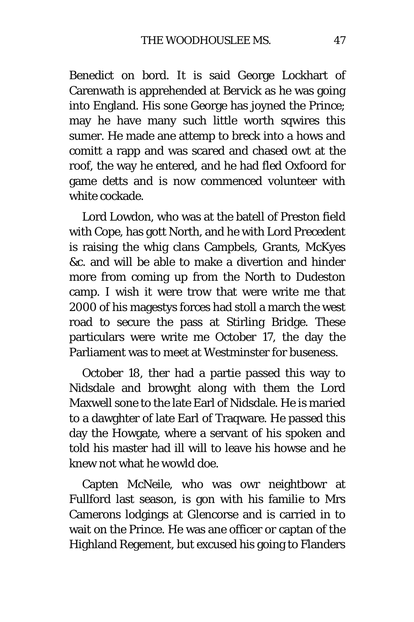Benedict on bord. It is said George Lockhart of Carenwath is apprehended at Bervick as he was going into England. His sone George has joyned the Prince; may he have many such little worth sqwires this sumer. He made ane attemp to breck into a hows and comitt a rapp and was scared and chased owt at the roof, the way he entered, and he had fled Oxfoord for game detts and is now commenced volunteer with white cockade.

Lord Lowdon, who was at the batell of Preston field with Cope, has gott North, and he with Lord Precedent is raising the whig clans Campbels, Grants, McKyes &c. and will be able to make a divertion and hinder more from coming up from the North to Dudeston camp. I wish it were trow that were write me that 2000 of his magestys forces had stoll a march the west road to secure the pass at Stirling Bridge. These particulars were write me October 17, the day the Parliament was to meet at Westminster for buseness.

October 18, ther had a partie passed this way to Nidsdale and browght along with them the Lord Maxwell sone to the late Earl of Nidsdale. He is maried to a dawghter of late Earl of Traqware. He passed this day the Howgate, where a servant of his spoken and told his master had ill will to leave his howse and he knew not what he wowld doe.

Capten McNeile, who was owr neightbowr at Fullford last season, is gon with his familie to Mrs Camerons lodgings at Glencorse and is carried in to wait on the Prince. He was ane officer or captan of the Highland Regement, but excused his going to Flanders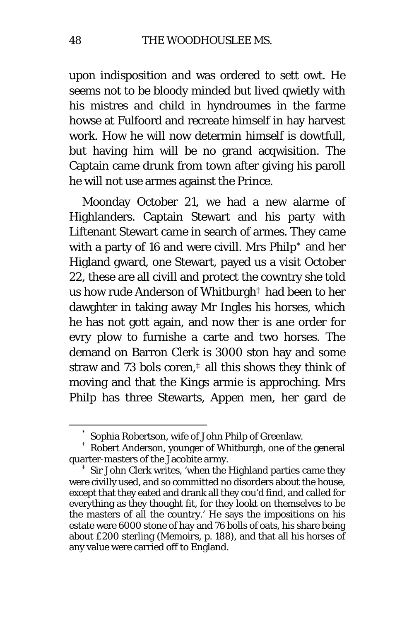upon indisposition and was ordered to sett owt. He seems not to be bloody minded but lived qwietly with his mistres and child in hyndroumes in the farme howse at Fulfoord and recreate himself in hay harvest work. How he will now determin himself is dowtfull, but having him will be no grand acqwisition. The Captain came drunk from town after giving his paroll he will not use armes against the Prince.

Moonday October 21, we had a new alarme of Highlanders. Captain Stewart and his party with Liftenant Stewart came in search of armes. They came with a party of 16 and were civill. Mrs Philp[\\*](#page-47-0) and her Higland gward, one Stewart, payed us a visit October 22, these are all civill and protect the cowntry she told us how rude Anderson of Whitburg[h†](#page-47-1) had been to her dawghter in taking away Mr Ingles his horses, which he has not gott again, and now ther is ane order for evry plow to furnishe a carte and two horses. The demand on Barron Clerk is 3000 ston hay and some straw and 73 bols coren,[‡](#page-47-2) all this shows they think of moving and that the Kings armie is approching. Mrs Philp has three Stewarts, Appen men, her gard de

<span id="page-47-1"></span><span id="page-47-0"></span> $^\ast$  Sophia Robertson, wife of John Philp of Greenlaw.<br>† Robert Anderson, younger of Whitburgh, one of the general quarter-masters of the Jacobite army.<br><sup>‡</sup> Sir John Clerk writes, 'when the Highland parties came they

<span id="page-47-2"></span>were civilly used, and so committed no disorders about the house, except that they eated and drank all they cou'd find, and called for everything as they thought fit, for they lookt on themselves to be the masters of all the country.' He says the impositions on his estate were 6000 stone of hay and 76 bolls of oats, his share being about £200 sterling *(Memoirs,* p. 188), and that all his horses of any value were carried off to England.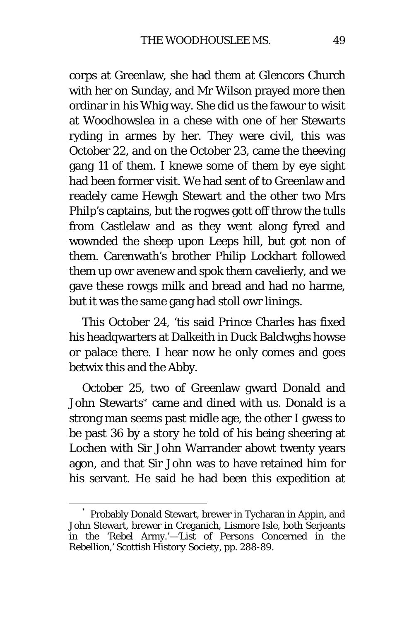corps at Greenlaw, she had them at Glencors Church with her on Sunday, and Mr Wilson prayed more then ordinar in his Whig way. She did us the fawour to wisit at Woodhowslea in a chese with one of her Stewarts ryding in armes by her. They were civil, this was October 22, and on the October 23, came the theeving gang 11 of them. I knewe some of them by eye sight had been former visit. We had sent of to Greenlaw and readely came Hewgh Stewart and the other two Mrs Philp's captains, but the rogwes gott off throw the tulls from Castlelaw and as they went along fyred and wownded the sheep upon Leeps hill, but got non of them. Carenwath's brother Philip Lockhart followed them up owr avenew and spok them cavelierly, and we gave these rowgs milk and bread and had no harme, but it was the same gang had stoll owr linings.

This October 24, 'tis said Prince Charles has fixed his headqwarters at Dalkeith in Duck Balclwghs howse or palace there. I hear now he only comes and goes betwix this and the Abby.

October 25, two of Greenlaw gward Donald and John Stewarts[\\*](#page-48-0) came and dined with us. Donald is a strong man seems past midle age, the other I gwess to be past 36 by a story he told of his being sheering at Lochen with Sir John Warrander abowt twenty years agon, and that Sir John was to have retained him for his servant. He said he had been this expedition at

<span id="page-48-0"></span> <sup>\*</sup> Probably Donald Stewart, brewer in Tycharan in Appin, and John Stewart, brewer in Creganich, Lismore Isle, both Serjeants in the 'Rebel Army.'—'List of Persons Concerned in the Rebellion,' *Scottish History Society,* pp. 288-89.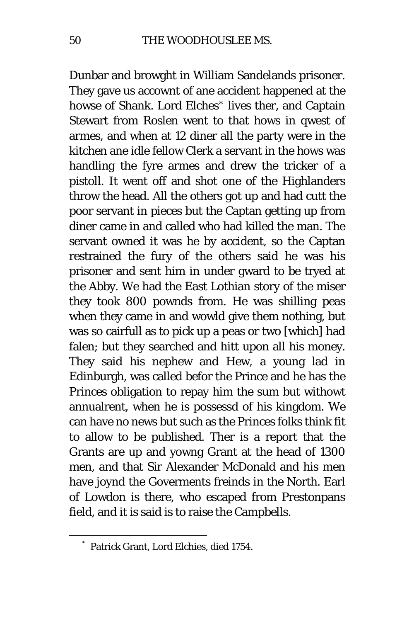Dunbar and browght in William Sandelands prisoner. They gave us accownt of ane accident happened at the howse of Shank. Lord Elches<sup>[\\*](#page-49-0)</sup> lives ther, and Captain Stewart from Roslen went to that hows in qwest of armes, and when at 12 diner all the party were in the kitchen ane idle fellow Clerk a servant in the hows was handling the fyre armes and drew the tricker of a pistoll. It went off and shot one of the Highlanders throw the head. All the others got up and had cutt the poor servant in pieces but the Captan getting up from diner came in and called who had killed the man. The servant owned it was he by accident, so the Captan restrained the fury of the others said he was his prisoner and sent him in under gward to be tryed at the Abby. We had the East Lothian story of the miser they took 800 pownds from. He was shilling peas when they came in and wowld give them nothing, but was so cairfull as to pick up a peas or two [which] had falen; but they searched and hitt upon all his money. They said his nephew and Hew, a young lad in Edinburgh, was called befor the Prince and he has the Princes obligation to repay him the sum but withowt annualrent, when he is possessd of his kingdom. We can have no news but such as the Princes folks think fit to allow to be published. Ther is a report that the Grants are up and yowng Grant at the head of 1300 men, and that Sir Alexander McDonald and his men have joynd the Goverments freinds in the North. Earl of Lowdon is there, who escaped from Prestonpans field, and it is said is to raise the Campbells.

<span id="page-49-0"></span> <sup>\*</sup> Patrick Grant, Lord Elchies, died 1754.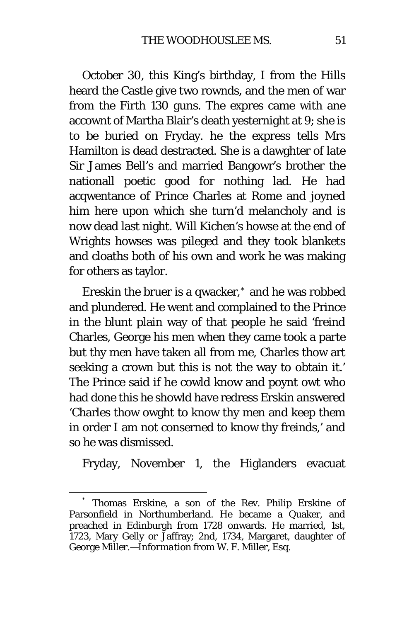October 30, this King's birthday, I from the Hills heard the Castle give two rownds, and the men of war from the Firth 130 guns. The expres came with ane accownt of Martha Blair's death yesternight at 9; she is to be buried on Fryday. he the express tells Mrs Hamilton is dead destracted. She is a dawghter of late Sir James Bell's and married Bangowr's brother the nationall poetic good for nothing lad. He had acqwentance of Prince Charles at Rome and joyned him here upon which she turn'd melancholy and is now dead last night. Will Kichen's howse at the end of Wrights howses was pileged and they took blankets and cloaths both of his own and work he was making for others as taylor.

Ereskin the bruer is a qwacker,[\\*](#page-50-0) and he was robbed and plundered. He went and complained to the Prince in the blunt plain way of that people he said 'freind Charles, George his men when they came took a parte but thy men have taken all from me, Charles thow art seeking a crown but this is not the way to obtain it.' The Prince said if he cowld know and poynt owt who had done this he showld have redress Erskin answered 'Charles thow owght to know thy men and keep them in order I am not conserned to know thy freinds,' and so he was dismissed.

Fryday, November 1, the Higlanders evacuat

<span id="page-50-0"></span>Thomas Erskine, a son of the Rev. Philip Erskine of Parsonfield in Northumberland. He became a Quaker, and preached in Edinburgh from 1728 onwards. He married, 1st, 1723, Mary Gelly or Jaffray; 2nd, 1734, Margaret, daughter of George Miller.—*Information from* W. F. Miller, Esq.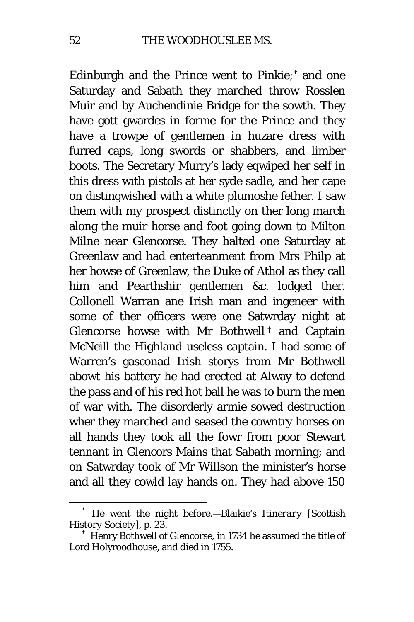Edinburgh and the Prince went to Pinkie;[\\*](#page-51-0) and one Saturday and Sabath they marched throw Rosslen Muir and by Auchendinie Bridge for the sowth. They have gott gwardes in forme for the Prince and they have a trowpe of gentlemen in huzare dress with furred caps, long swords or shabbers, and limber boots. The Secretary Murry's lady eqwiped her self in this dress with pistols at her syde sadle, and her cape on distingwished with a white plumoshe fether. I saw them with my prospect distinctly on ther long march along the muir horse and foot going down to Milton Milne near Glencorse. They halted one Saturday at Greenlaw and had enterteanment from Mrs Philp at her howse of Greenlaw, the Duke of Athol as they call him and Pearthshir gentlemen &c. lodged ther. Collonell Warran ane Irish man and ingeneer with some of ther officers were one Satwrday night at Glencorse howse with Mr Bothwell [†](#page-51-1) and Captain McNeill the Highland useless captain. I had some of Warren's gasconad Irish storys from Mr Bothwell abowt his battery he had erected at Alway to defend the pass and of his red hot ball he was to burn the men of war with. The disorderly armie sowed destruction wher they marched and seased the cowntry horses on all hands they took all the fowr from poor Stewart tennant in Glencors Mains that Sabath morning; and on Satwrday took of Mr Willson the minister's horse and all they cowld lay hands on. They had above 150

<span id="page-51-0"></span> <sup>\*</sup> He went the night before.—Blaikie's *Itinerary [Scottish History Society],* p. 23. † Henry Bothwell of Glencorse, in 1734 he assumed the title of

<span id="page-51-1"></span>Lord Holyroodhouse, and died in 1755.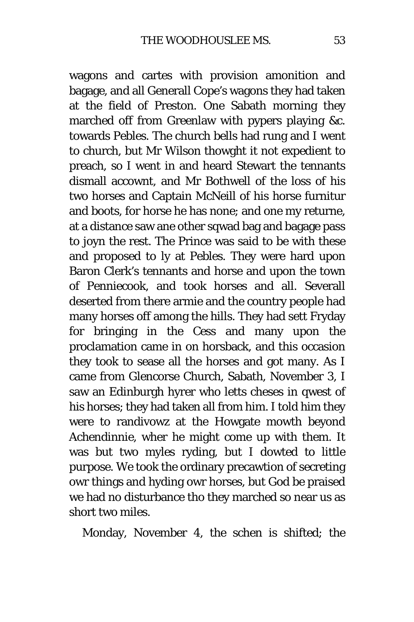wagons and cartes with provision amonition and bagage, and all Generall Cope's wagons they had taken at the field of Preston. One Sabath morning they marched off from Greenlaw with pypers playing &c. towards Pebles. The church bells had rung and I went to church, but Mr Wilson thowght it not expedient to preach, so I went in and heard Stewart the tennants dismall accownt, and Mr Bothwell of the loss of his two horses and Captain McNeill of his horse furnitur and boots, for horse he has none; and one my returne, at a distance saw ane other sqwad bag and bagage pass to joyn the rest. The Prince was said to be with these and proposed to ly at Pebles. They were hard upon Baron Clerk's tennants and horse and upon the town of Penniecook, and took horses and all. Severall deserted from there armie and the country people had many horses off among the hills. They had sett Fryday for bringing in the Cess and many upon the proclamation came in on horsback, and this occasion they took to sease all the horses and got many. As I came from Glencorse Church, Sabath, November 3, I saw an Edinburgh hyrer who letts cheses in qwest of his horses; they had taken all from him. I told him they were to randivowz at the Howgate mowth beyond Achendinnie, wher he might come up with them. It was but two myles ryding, but I dowted to little purpose. We took the ordinary precawtion of secreting owr things and hyding owr horses, but God be praised we had no disturbance tho they marched so near us as short two miles.

Monday, November 4, the schen is shifted; the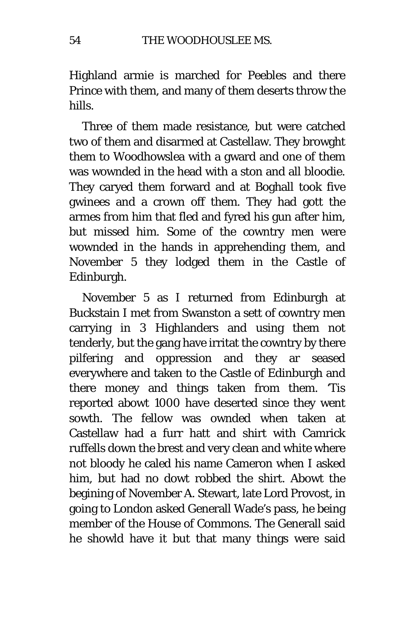Highland armie is marched for Peebles and there Prince with them, and many of them deserts throw the hills.

Three of them made resistance, but were catched two of them and disarmed at Castellaw. They browght them to Woodhowslea with a gward and one of them was wownded in the head with a ston and all bloodie. They caryed them forward and at Boghall took five gwinees and a crown off them. They had gott the armes from him that fled and fyred his gun after him, but missed him. Some of the cowntry men were wownded in the hands in apprehending them, and November 5 they lodged them in the Castle of Edinburgh.

November 5 as I returned from Edinburgh at Buckstain I met from Swanston a sett of cowntry men carrying in 3 Highlanders and using them not tenderly, but the gang have irritat the cowntry by there pilfering and oppression and they ar seased everywhere and taken to the Castle of Edinburgh and there money and things taken from them. 'Tis reported abowt 1000 have deserted since they went sowth. The fellow was ownded when taken at Castellaw had a furr hatt and shirt with Camrick ruffells down the brest and very clean and white where not bloody he caled his name Cameron when I asked him, but had no dowt robbed the shirt. Abowt the begining of November A. Stewart, late Lord Provost, in going to London asked Generall Wade's pass, he being member of the House of Commons. The Generall said he showld have it but that many things were said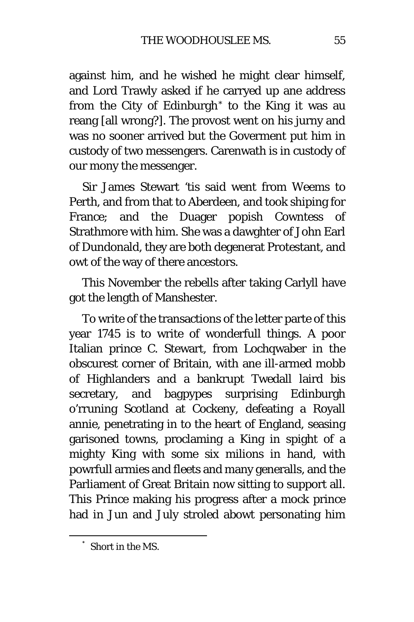against him, and he wished he might clear himself, and Lord Trawly asked if he carryed up ane address from the City of Edinburgh[\\*](#page-54-0) to the King it was au reang [all wrong?]. The provost went on his jurny and was no sooner arrived but the Goverment put him in custody of two messengers. Carenwath is in custody of our mony the messenger.

Sir James Stewart 'tis said went from Weems to Perth, and from that to Aberdeen, and took shiping for France; and the Duager popish Cowntess of Strathmore with him. She was a dawghter of John Earl of Dundonald, they are both degenerat Protestant, and owt of the way of there ancestors.

This November the rebells after taking Carlyll have got the length of Manshester.

To write of the transactions of the letter parte of this year 1745 is to write of wonderfull things. A poor Italian prince C. Stewart, from Lochqwaber in the obscurest corner of Britain, with ane ill-armed mobb of Highlanders and a bankrupt Twedall laird bis secretary, and bagpypes surprising Edinburgh o'rruning Scotland at Cockeny, defeating a Royall annie, penetrating in to the heart of England, seasing garisoned towns, proclaming a King in spight of a mighty King with some six milions in hand, with powrfull armies and fleets and many generalls, and the Parliament of Great Britain now sitting to support all. This Prince making his progress after a mock prince had in Jun and July stroled abowt personating him

<span id="page-54-0"></span> <sup>\*</sup> Short in the MS.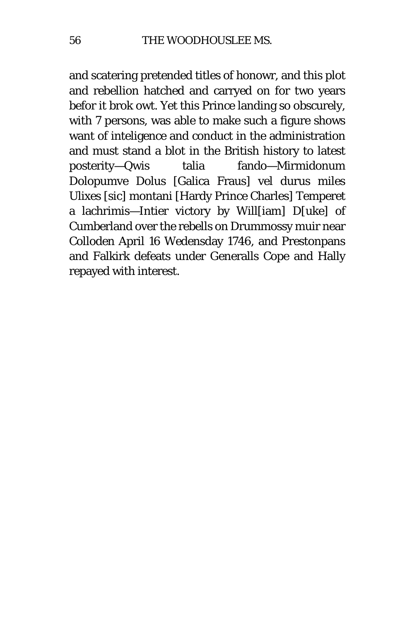and scatering pretended titles of honowr, and this plot and rebellion hatched and carryed on for two years befor it brok owt. Yet this Prince landing so obscurely, with 7 persons, was able to make such a figure shows want of inteligence and conduct in the administration and must stand a blot in the British history to latest posterity—Qwis talia fando—Mirmidonum Dolopumve Dolus [Galica Fraus] vel durus miles Ulixes *[sic]* montani [Hardy Prince Charles] Temperet a lachrimis—Intier victory by Will[iam] D[uke] of Cumberland over the rebells on Drummossy muir near Colloden April 16 Wedensday 1746, and Prestonpans and Falkirk defeats under Generalls Cope and Hally repayed with interest.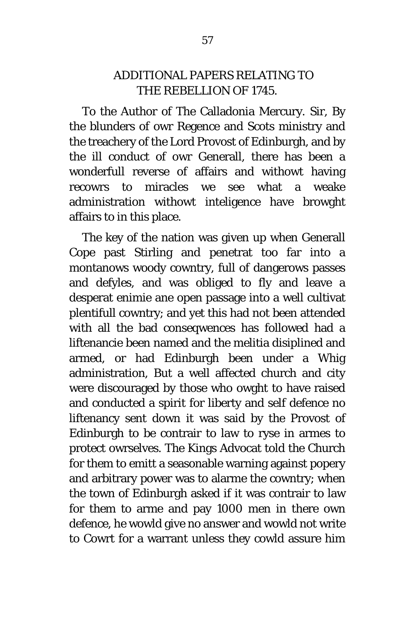### ADDITIONAL PAPERS RELATING TO THE REBELLION OF 1745.

To the Author of The Calladonia Mercury. Sir, By the blunders of owr Regence and Scots ministry and the treachery of the Lord Provost of Edinburgh, and by the ill conduct of owr Generall, there has been a wonderfull reverse of affairs and withowt having recowrs to miracles we see what a weake administration withowt inteligence have browght affairs to in this place.

The key of the nation was given up when Generall Cope past Stirling and penetrat too far into a montanows woody cowntry, full of dangerows passes and defyles, and was obliged to fly and leave a desperat enimie ane open passage into a well cultivat plentifull cowntry; and yet this had not been attended with all the bad conseqwences has followed had a liftenancie been named and the melitia disiplined and armed, or had Edinburgh been under a Whig administration, But a well affected church and city were discouraged by those who owght to have raised and conducted a spirit for liberty and self defence no liftenancy sent down it was said by the Provost of Edinburgh to be contrair to law to ryse in armes to protect owrselves. The Kings Advocat told the Church for them to emitt a seasonable warning against popery and arbitrary power was to alarme the cowntry; when the town of Edinburgh asked if it was contrair to law for them to arme and pay 1000 men in there own defence, he wowld give no answer and wowld not write to Cowrt for a warrant unless they cowld assure him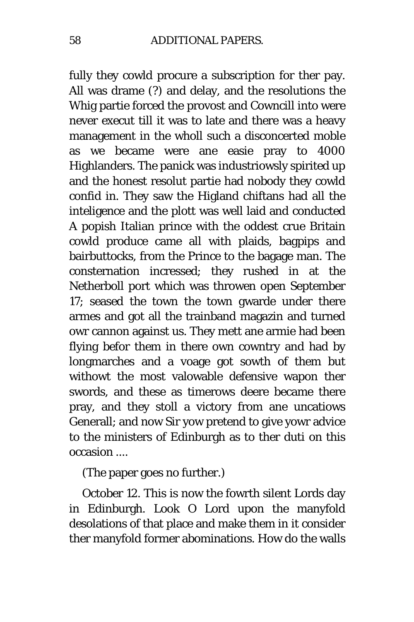fully they cowld procure a subscription for ther pay. All was drame (?) and delay, and the resolutions the Whig partie forced the provost and Cowncill into were never execut till it was to late and there was a heavy management in the wholl such a disconcerted moble as we became were ane easie pray to 4000 Highlanders. The panick was industriowsly spirited up and the honest resolut partie had nobody they cowld confid in. They saw the Higland chiftans had all the inteligence and the plott was well laid and conducted A popish Italian prince with the oddest crue Britain cowld produce came all with plaids, bagpips and bairbuttocks, from the Prince to the bagage man. The consternation incressed; they rushed in at the Netherboll port which was throwen open September 17; seased the town the town gwarde under there armes and got all the trainband magazin and turned owr cannon against us. They mett ane armie had been flying befor them in there own cowntry and had by longmarches and a voage got sowth of them but withowt the most valowable defensive wapon ther swords, and these as timerows deere became there pray, and they stoll a victory from ane uncatiows Generall; and now Sir yow pretend to give yowr advice to the ministers of Edinburgh as to ther duti on this occasion ....

(The paper goes no further.)

October 12. This is now the fowrth silent Lords day in Edinburgh. Look O Lord upon the manyfold desolations of that place and make them in it consider ther manyfold former abominations. How do the walls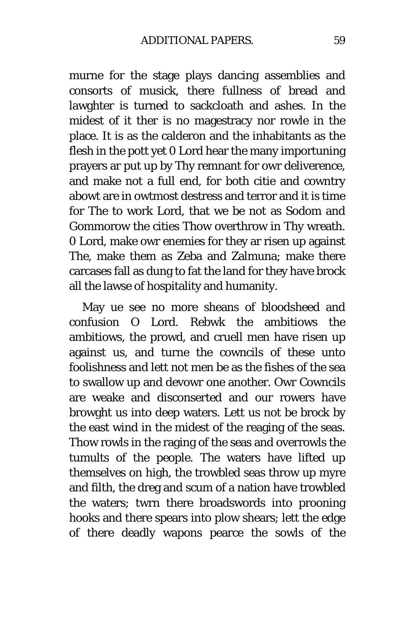murne for the stage plays dancing assemblies and consorts of musick, there fullness of bread and lawghter is turned to sackcloath and ashes. In the midest of it ther is no magestracy nor rowle in the place. It is as the calderon and the inhabitants as the flesh in the pott yet 0 Lord hear the many importuning prayers ar put up by Thy remnant for owr deliverence, and make not a full end, for both citie and cowntry abowt are in owtmost destress and terror and it is time for The to work Lord, that we be not as Sodom and Gommorow the cities Thow overthrow in Thy wreath. 0 Lord, make owr enemies for they ar risen up against The, make them as Zeba and Zalmuna; make there carcases fall as dung to fat the land for they have brock all the lawse of hospitality and humanity.

May ue see no more sheans of bloodsheed and confusion O Lord. Rebwk the ambitiows the ambitiows, the prowd, and cruell men have risen up against us, and turne the cowncils of these unto foolishness and lett not men be as the fishes of the sea to swallow up and devowr one another. Owr Cowncils are weake and disconserted and our rowers have browght us into deep waters. Lett us not be brock by the east wind in the midest of the reaging of the seas. Thow rowls in the raging of the seas and overrowls the tumults of the people. The waters have lifted up themselves on high, the trowbled seas throw up myre and filth, the dreg and scum of a nation have trowbled the waters; twrn there broadswords into prooning hooks and there spears into plow shears; lett the edge of there deadly wapons pearce the sowls of the